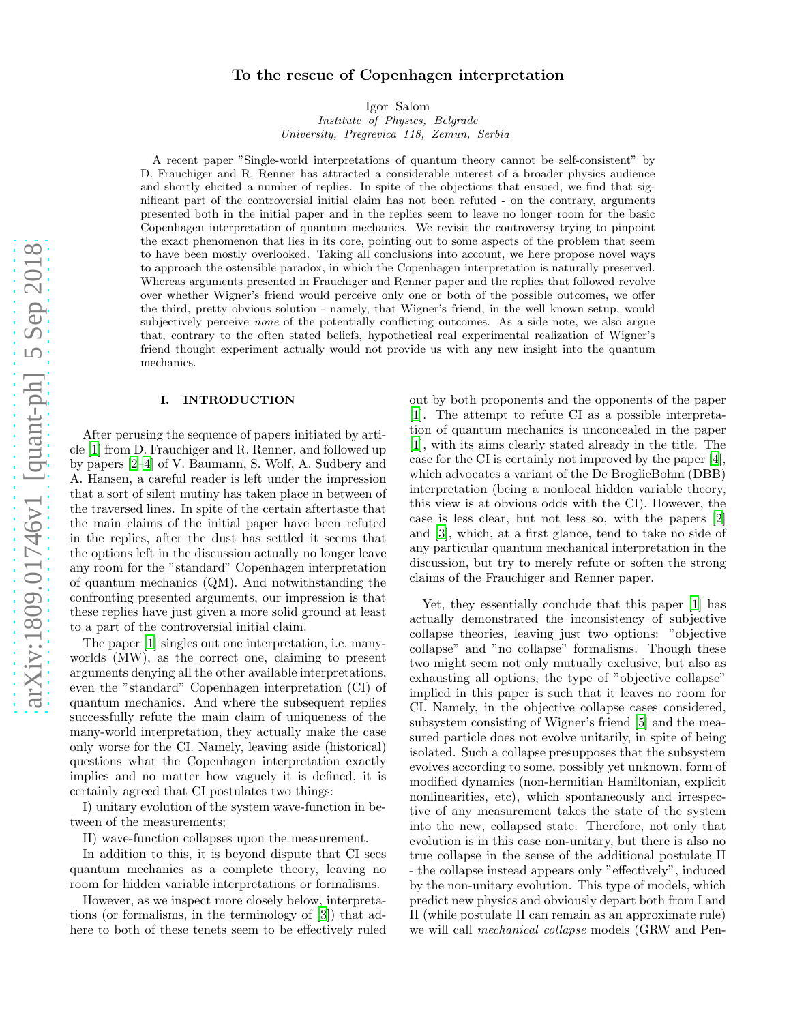# arXiv:1809.01746v1 [quant-ph] 5 Sep 2018 [arXiv:1809.01746v1 \[quant-ph\] 5 Sep 2018](http://arxiv.org/abs/1809.01746v1)

# To the rescue of Copenhagen interpretation

Igor Salom

Institute of Physics, Belgrade University, Pregrevica 118, Zemun, Serbia

A recent paper "Single-world interpretations of quantum theory cannot be self-consistent" by D. Frauchiger and R. Renner has attracted a considerable interest of a broader physics audience and shortly elicited a number of replies. In spite of the objections that ensued, we find that significant part of the controversial initial claim has not been refuted - on the contrary, arguments presented both in the initial paper and in the replies seem to leave no longer room for the basic Copenhagen interpretation of quantum mechanics. We revisit the controversy trying to pinpoint the exact phenomenon that lies in its core, pointing out to some aspects of the problem that seem to have been mostly overlooked. Taking all conclusions into account, we here propose novel ways to approach the ostensible paradox, in which the Copenhagen interpretation is naturally preserved. Whereas arguments presented in Frauchiger and Renner paper and the replies that followed revolve over whether Wigner's friend would perceive only one or both of the possible outcomes, we offer the third, pretty obvious solution - namely, that Wigner's friend, in the well known setup, would subjectively perceive *none* of the potentially conflicting outcomes. As a side note, we also argue that, contrary to the often stated beliefs, hypothetical real experimental realization of Wigner's friend thought experiment actually would not provide us with any new insight into the quantum mechanics.

### I. INTRODUCTION

After perusing the sequence of papers initiated by article [\[1\]](#page-18-0) from D. Frauchiger and R. Renner, and followed up by papers [\[2](#page-18-1)[–4\]](#page-18-2) of V. Baumann, S. Wolf, A. Sudbery and A. Hansen, a careful reader is left under the impression that a sort of silent mutiny has taken place in between of the traversed lines. In spite of the certain aftertaste that the main claims of the initial paper have been refuted in the replies, after the dust has settled it seems that the options left in the discussion actually no longer leave any room for the "standard" Copenhagen interpretation of quantum mechanics (QM). And notwithstanding the confronting presented arguments, our impression is that these replies have just given a more solid ground at least to a part of the controversial initial claim.

The paper [\[1](#page-18-0)] singles out one interpretation, i.e. manyworlds (MW), as the correct one, claiming to present arguments denying all the other available interpretations, even the "standard" Copenhagen interpretation (CI) of quantum mechanics. And where the subsequent replies successfully refute the main claim of uniqueness of the many-world interpretation, they actually make the case only worse for the CI. Namely, leaving aside (historical) questions what the Copenhagen interpretation exactly implies and no matter how vaguely it is defined, it is certainly agreed that CI postulates two things:

I) unitary evolution of the system wave-function in between of the measurements;

II) wave-function collapses upon the measurement.

In addition to this, it is beyond dispute that CI sees quantum mechanics as a complete theory, leaving no room for hidden variable interpretations or formalisms.

However, as we inspect more closely below, interpretations (or formalisms, in the terminology of [\[3\]](#page-18-3)) that adhere to both of these tenets seem to be effectively ruled out by both proponents and the opponents of the paper [\[1\]](#page-18-0). The attempt to refute CI as a possible interpretation of quantum mechanics is unconcealed in the paper [\[1\]](#page-18-0), with its aims clearly stated already in the title. The case for the CI is certainly not improved by the paper [\[4\]](#page-18-2), which advocates a variant of the De BroglieBohm (DBB) interpretation (being a nonlocal hidden variable theory, this view is at obvious odds with the CI). However, the case is less clear, but not less so, with the papers [\[2](#page-18-1)] and [\[3\]](#page-18-3), which, at a first glance, tend to take no side of any particular quantum mechanical interpretation in the discussion, but try to merely refute or soften the strong claims of the Frauchiger and Renner paper.

Yet, they essentially conclude that this paper [\[1\]](#page-18-0) has actually demonstrated the inconsistency of subjective collapse theories, leaving just two options: "objective collapse" and "no collapse" formalisms. Though these two might seem not only mutually exclusive, but also as exhausting all options, the type of "objective collapse" implied in this paper is such that it leaves no room for CI. Namely, in the objective collapse cases considered, subsystem consisting of Wigner's friend [\[5](#page-18-4)] and the measured particle does not evolve unitarily, in spite of being isolated. Such a collapse presupposes that the subsystem evolves according to some, possibly yet unknown, form of modified dynamics (non-hermitian Hamiltonian, explicit nonlinearities, etc), which spontaneously and irrespective of any measurement takes the state of the system into the new, collapsed state. Therefore, not only that evolution is in this case non-unitary, but there is also no true collapse in the sense of the additional postulate II - the collapse instead appears only "effectively", induced by the non-unitary evolution. This type of models, which predict new physics and obviously depart both from I and II (while postulate II can remain as an approximate rule) we will call mechanical collapse models (GRW and Pen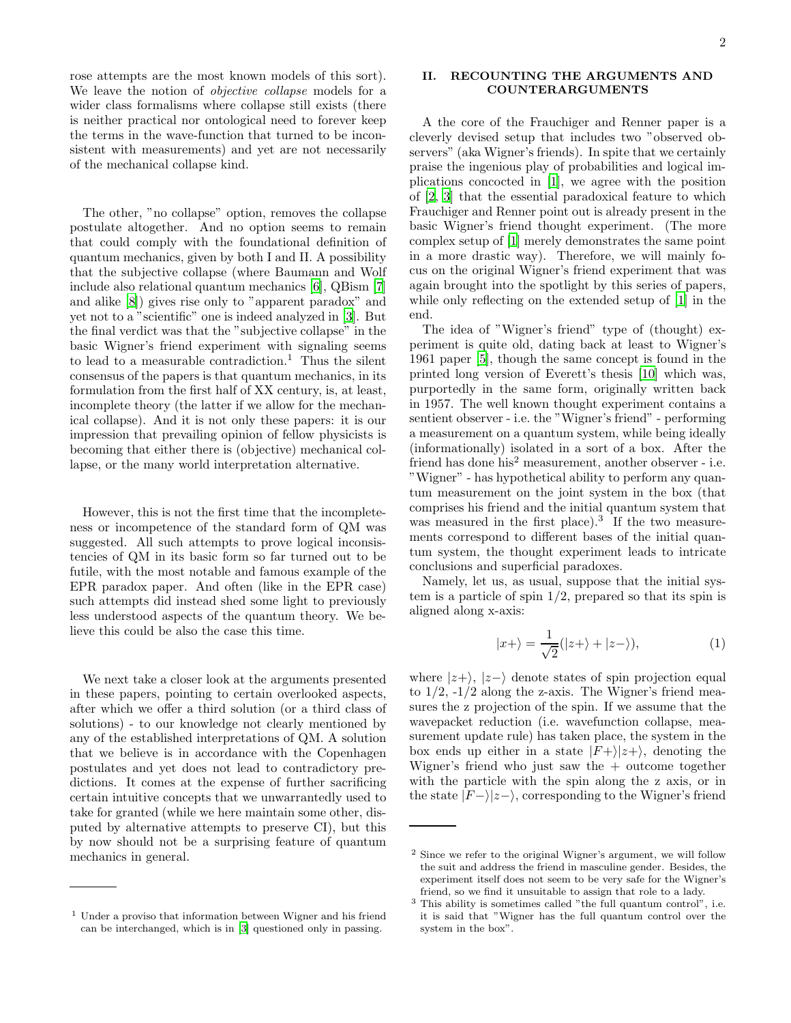rose attempts are the most known models of this sort). We leave the notion of objective collapse models for a wider class formalisms where collapse still exists (there is neither practical nor ontological need to forever keep the terms in the wave-function that turned to be inconsistent with measurements) and yet are not necessarily of the mechanical collapse kind.

The other, "no collapse" option, removes the collapse postulate altogether. And no option seems to remain that could comply with the foundational definition of quantum mechanics, given by both I and II. A possibility that the subjective collapse (where Baumann and Wolf include also relational quantum mechanics [\[6](#page-18-5)], QBism [\[7](#page-18-6)] and alike [\[8\]](#page-18-7)) gives rise only to "apparent paradox" and yet not to a "scientific" one is indeed analyzed in [\[3\]](#page-18-3). But the final verdict was that the "subjective collapse" in the basic Wigner's friend experiment with signaling seems to lead to a measurable contradiction.<sup>1</sup> Thus the silent consensus of the papers is that quantum mechanics, in its formulation from the first half of XX century, is, at least, incomplete theory (the latter if we allow for the mechanical collapse). And it is not only these papers: it is our impression that prevailing opinion of fellow physicists is becoming that either there is (objective) mechanical collapse, or the many world interpretation alternative.

However, this is not the first time that the incompleteness or incompetence of the standard form of QM was suggested. All such attempts to prove logical inconsistencies of QM in its basic form so far turned out to be futile, with the most notable and famous example of the EPR paradox paper. And often (like in the EPR case) such attempts did instead shed some light to previously less understood aspects of the quantum theory. We believe this could be also the case this time.

We next take a closer look at the arguments presented in these papers, pointing to certain overlooked aspects, after which we offer a third solution (or a third class of solutions) - to our knowledge not clearly mentioned by any of the established interpretations of QM. A solution that we believe is in accordance with the Copenhagen postulates and yet does not lead to contradictory predictions. It comes at the expense of further sacrificing certain intuitive concepts that we unwarrantedly used to take for granted (while we here maintain some other, disputed by alternative attempts to preserve CI), but this by now should not be a surprising feature of quantum mechanics in general.

# II. RECOUNTING THE ARGUMENTS AND COUNTERARGUMENTS

A the core of the Frauchiger and Renner paper is a cleverly devised setup that includes two "observed observers" (aka Wigner's friends). In spite that we certainly praise the ingenious play of probabilities and logical implications concocted in [\[1](#page-18-0)], we agree with the position of [\[2,](#page-18-1) [3\]](#page-18-3) that the essential paradoxical feature to which Frauchiger and Renner point out is already present in the basic Wigner's friend thought experiment. (The more complex setup of [\[1](#page-18-0)] merely demonstrates the same point in a more drastic way). Therefore, we will mainly focus on the original Wigner's friend experiment that was again brought into the spotlight by this series of papers, while only reflecting on the extended setup of [\[1\]](#page-18-0) in the end.

The idea of "Wigner's friend" type of (thought) experiment is quite old, dating back at least to Wigner's 1961 paper [\[5](#page-18-4)], though the same concept is found in the printed long version of Everett's thesis [\[10\]](#page-18-8) which was, purportedly in the same form, originally written back in 1957. The well known thought experiment contains a sentient observer - i.e. the "Wigner's friend" - performing a measurement on a quantum system, while being ideally (informationally) isolated in a sort of a box. After the friend has done his<sup>2</sup> measurement, another observer - i.e. "Wigner" - has hypothetical ability to perform any quantum measurement on the joint system in the box (that comprises his friend and the initial quantum system that was measured in the first place).<sup>3</sup> If the two measurements correspond to different bases of the initial quantum system, the thought experiment leads to intricate conclusions and superficial paradoxes.

Namely, let us, as usual, suppose that the initial system is a particle of spin 1/2, prepared so that its spin is aligned along x-axis:

$$
|x+\rangle = \frac{1}{\sqrt{2}}(|z+\rangle + |z-\rangle),\tag{1}
$$

where  $|z+\rangle$ ,  $|z-\rangle$  denote states of spin projection equal to  $1/2$ ,  $-1/2$  along the z-axis. The Wigner's friend measures the z projection of the spin. If we assume that the wavepacket reduction (i.e. wavefunction collapse, measurement update rule) has taken place, the system in the box ends up either in a state  $|F+\rangle|z+\rangle$ , denoting the Wigner's friend who just saw the  $+$  outcome together with the particle with the spin along the z axis, or in the state  $|F-\rangle|z-\rangle$ , corresponding to the Wigner's friend

<sup>1</sup> Under a proviso that information between Wigner and his friend can be interchanged, which is in [\[3\]](#page-18-3) questioned only in passing.

<sup>2</sup> Since we refer to the original Wigner's argument, we will follow the suit and address the friend in masculine gender. Besides, the experiment itself does not seem to be very safe for the Wigner's friend, so we find it unsuitable to assign that role to a lady.

<sup>3</sup> This ability is sometimes called "the full quantum control", i.e. it is said that "Wigner has the full quantum control over the system in the box".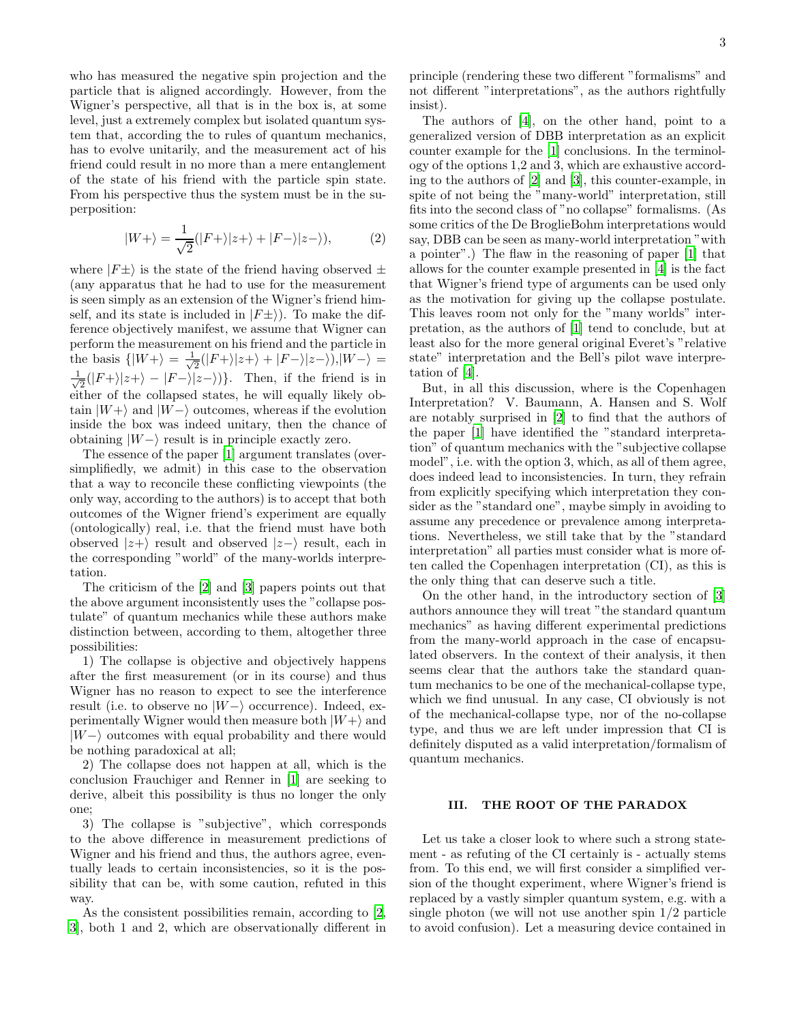who has measured the negative spin projection and the particle that is aligned accordingly. However, from the Wigner's perspective, all that is in the box is, at some level, just a extremely complex but isolated quantum system that, according the to rules of quantum mechanics, has to evolve unitarily, and the measurement act of his friend could result in no more than a mere entanglement of the state of his friend with the particle spin state. From his perspective thus the system must be in the superposition:

$$
|W+\rangle = \frac{1}{\sqrt{2}}(|F+\rangle|z+\rangle + |F-\rangle|z-\rangle),\tag{2}
$$

where  $|F\pm\rangle$  is the state of the friend having observed  $\pm$ (any apparatus that he had to use for the measurement is seen simply as an extension of the Wigner's friend himself, and its state is included in  $|F\pm\rangle$ ). To make the difference objectively manifest, we assume that Wigner can perform the measurement on his friend and the particle in the basis  $\{|W+\rangle = \frac{1}{\sqrt{2}}\}$  $\frac{1}{2}(|F+\rangle|z+\rangle+|F-\rangle|z-\rangle),|W-\rangle=$ √ 1  $\frac{1}{2}(|F+\rangle|z+\rangle - |F-\rangle|z-\rangle)$ . Then, if the friend is in either of the collapsed states, he will equally likely obtain  $|W+\rangle$  and  $|W-\rangle$  outcomes, whereas if the evolution inside the box was indeed unitary, then the chance of obtaining  $|W-\rangle$  result is in principle exactly zero.

The essence of the paper [\[1\]](#page-18-0) argument translates (oversimplifiedly, we admit) in this case to the observation that a way to reconcile these conflicting viewpoints (the only way, according to the authors) is to accept that both outcomes of the Wigner friend's experiment are equally (ontologically) real, i.e. that the friend must have both observed  $|z+\rangle$  result and observed  $|z-\rangle$  result, each in the corresponding "world" of the many-worlds interpretation.

The criticism of the [\[2\]](#page-18-1) and [\[3\]](#page-18-3) papers points out that the above argument inconsistently uses the "collapse postulate" of quantum mechanics while these authors make distinction between, according to them, altogether three possibilities:

1) The collapse is objective and objectively happens after the first measurement (or in its course) and thus Wigner has no reason to expect to see the interference result (i.e. to observe no  $|W-\rangle$  occurrence). Indeed, experimentally Wigner would then measure both  $|W+\rangle$  and  $|W-\rangle$  outcomes with equal probability and there would be nothing paradoxical at all;

2) The collapse does not happen at all, which is the conclusion Frauchiger and Renner in [\[1\]](#page-18-0) are seeking to derive, albeit this possibility is thus no longer the only one;

3) The collapse is "subjective", which corresponds to the above difference in measurement predictions of Wigner and his friend and thus, the authors agree, eventually leads to certain inconsistencies, so it is the possibility that can be, with some caution, refuted in this way.

As the consistent possibilities remain, according to [\[2](#page-18-1), [3](#page-18-3)], both 1 and 2, which are observationally different in

principle (rendering these two different "formalisms" and not different "interpretations", as the authors rightfully insist).

The authors of [\[4](#page-18-2)], on the other hand, point to a generalized version of DBB interpretation as an explicit counter example for the [\[1](#page-18-0)] conclusions. In the terminology of the options 1,2 and 3, which are exhaustive according to the authors of [\[2](#page-18-1)] and [\[3\]](#page-18-3), this counter-example, in spite of not being the "many-world" interpretation, still fits into the second class of "no collapse" formalisms. (As some critics of the De BroglieBohm interpretations would say, DBB can be seen as many-world interpretation "with a pointer".) The flaw in the reasoning of paper [\[1](#page-18-0)] that allows for the counter example presented in [\[4](#page-18-2)] is the fact that Wigner's friend type of arguments can be used only as the motivation for giving up the collapse postulate. This leaves room not only for the "many worlds" interpretation, as the authors of [\[1\]](#page-18-0) tend to conclude, but at least also for the more general original Everet's "relative state" interpretation and the Bell's pilot wave interpretation of [\[4\]](#page-18-2).

But, in all this discussion, where is the Copenhagen Interpretation? V. Baumann, A. Hansen and S. Wolf are notably surprised in [\[2\]](#page-18-1) to find that the authors of the paper [\[1\]](#page-18-0) have identified the "standard interpretation" of quantum mechanics with the "subjective collapse model", i.e. with the option 3, which, as all of them agree, does indeed lead to inconsistencies. In turn, they refrain from explicitly specifying which interpretation they consider as the "standard one", maybe simply in avoiding to assume any precedence or prevalence among interpretations. Nevertheless, we still take that by the "standard interpretation" all parties must consider what is more often called the Copenhagen interpretation (CI), as this is the only thing that can deserve such a title.

On the other hand, in the introductory section of [\[3](#page-18-3)] authors announce they will treat "the standard quantum mechanics" as having different experimental predictions from the many-world approach in the case of encapsulated observers. In the context of their analysis, it then seems clear that the authors take the standard quantum mechanics to be one of the mechanical-collapse type, which we find unusual. In any case, CI obviously is not of the mechanical-collapse type, nor of the no-collapse type, and thus we are left under impression that CI is definitely disputed as a valid interpretation/formalism of quantum mechanics.

# III. THE ROOT OF THE PARADOX

Let us take a closer look to where such a strong statement - as refuting of the CI certainly is - actually stems from. To this end, we will first consider a simplified version of the thought experiment, where Wigner's friend is replaced by a vastly simpler quantum system, e.g. with a single photon (we will not use another spin 1/2 particle to avoid confusion). Let a measuring device contained in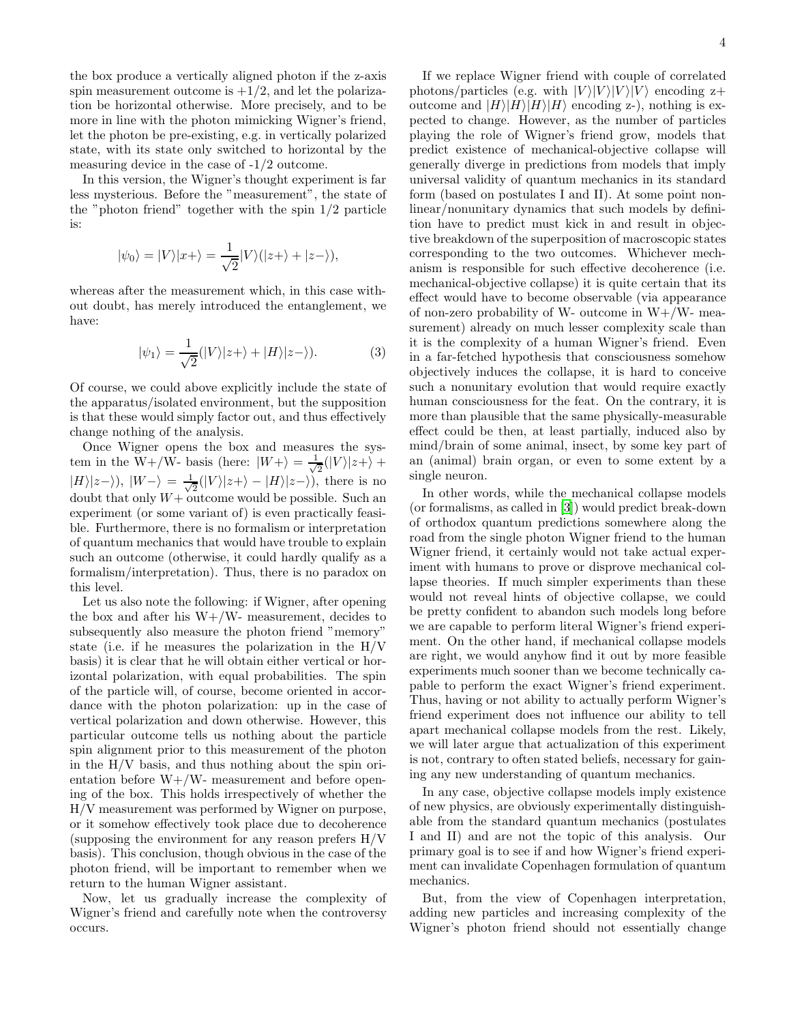the box produce a vertically aligned photon if the z-axis spin measurement outcome is  $+1/2$ , and let the polarization be horizontal otherwise. More precisely, and to be more in line with the photon mimicking Wigner's friend, let the photon be pre-existing, e.g. in vertically polarized state, with its state only switched to horizontal by the measuring device in the case of -1/2 outcome.

In this version, the Wigner's thought experiment is far less mysterious. Before the "measurement", the state of the "photon friend" together with the spin 1/2 particle is:

$$
|\psi_0\rangle = |V\rangle |x+\rangle = \frac{1}{\sqrt{2}}|V\rangle (|z+\rangle + |z-\rangle),
$$

whereas after the measurement which, in this case without doubt, has merely introduced the entanglement, we have:

$$
|\psi_1\rangle = \frac{1}{\sqrt{2}}(|V\rangle|z+\rangle + |H\rangle|z-\rangle). \tag{3}
$$

Of course, we could above explicitly include the state of the apparatus/isolated environment, but the supposition is that these would simply factor out, and thus effectively change nothing of the analysis.

Once Wigner opens the box and measures the system in the W+/W- basis (here:  $|W+\rangle = \frac{1}{\sqrt{2}}$  $\frac{1}{2}(|V\rangle|z+\rangle +$  $|H\rangle|z-\rangle)$ ,  $|W-\rangle = \frac{1}{\sqrt{2}}$  $\frac{1}{2}(|V\rangle|z+\rangle - |H\rangle|z-\rangle)$ , there is no doubt that only  $W+$  outcome would be possible. Such an experiment (or some variant of) is even practically feasible. Furthermore, there is no formalism or interpretation of quantum mechanics that would have trouble to explain such an outcome (otherwise, it could hardly qualify as a formalism/interpretation). Thus, there is no paradox on this level.

Let us also note the following: if Wigner, after opening the box and after his  $W + / W$ - measurement, decides to subsequently also measure the photon friend "memory" state (i.e. if he measures the polarization in the  $H/V$ basis) it is clear that he will obtain either vertical or horizontal polarization, with equal probabilities. The spin of the particle will, of course, become oriented in accordance with the photon polarization: up in the case of vertical polarization and down otherwise. However, this particular outcome tells us nothing about the particle spin alignment prior to this measurement of the photon in the H/V basis, and thus nothing about the spin orientation before  $W+/W-$  measurement and before opening of the box. This holds irrespectively of whether the H/V measurement was performed by Wigner on purpose, or it somehow effectively took place due to decoherence (supposing the environment for any reason prefers H/V basis). This conclusion, though obvious in the case of the photon friend, will be important to remember when we return to the human Wigner assistant.

Now, let us gradually increase the complexity of Wigner's friend and carefully note when the controversy occurs.

If we replace Wigner friend with couple of correlated photons/particles (e.g. with  $|V\rangle|V\rangle|V\rangle$ ) encoding z+ outcome and  $|H\rangle|H\rangle|H\rangle$  encoding z-), nothing is expected to change. However, as the number of particles playing the role of Wigner's friend grow, models that predict existence of mechanical-objective collapse will generally diverge in predictions from models that imply universal validity of quantum mechanics in its standard form (based on postulates I and II). At some point nonlinear/nonunitary dynamics that such models by definition have to predict must kick in and result in objective breakdown of the superposition of macroscopic states corresponding to the two outcomes. Whichever mechanism is responsible for such effective decoherence (i.e. mechanical-objective collapse) it is quite certain that its effect would have to become observable (via appearance of non-zero probability of W- outcome in  $W + / W$ - measurement) already on much lesser complexity scale than it is the complexity of a human Wigner's friend. Even in a far-fetched hypothesis that consciousness somehow objectively induces the collapse, it is hard to conceive such a nonunitary evolution that would require exactly human consciousness for the feat. On the contrary, it is more than plausible that the same physically-measurable effect could be then, at least partially, induced also by mind/brain of some animal, insect, by some key part of an (animal) brain organ, or even to some extent by a single neuron.

In other words, while the mechanical collapse models (or formalisms, as called in [\[3\]](#page-18-3)) would predict break-down of orthodox quantum predictions somewhere along the road from the single photon Wigner friend to the human Wigner friend, it certainly would not take actual experiment with humans to prove or disprove mechanical collapse theories. If much simpler experiments than these would not reveal hints of objective collapse, we could be pretty confident to abandon such models long before we are capable to perform literal Wigner's friend experiment. On the other hand, if mechanical collapse models are right, we would anyhow find it out by more feasible experiments much sooner than we become technically capable to perform the exact Wigner's friend experiment. Thus, having or not ability to actually perform Wigner's friend experiment does not influence our ability to tell apart mechanical collapse models from the rest. Likely, we will later argue that actualization of this experiment is not, contrary to often stated beliefs, necessary for gaining any new understanding of quantum mechanics.

In any case, objective collapse models imply existence of new physics, are obviously experimentally distinguishable from the standard quantum mechanics (postulates I and II) and are not the topic of this analysis. Our primary goal is to see if and how Wigner's friend experiment can invalidate Copenhagen formulation of quantum mechanics.

But, from the view of Copenhagen interpretation, adding new particles and increasing complexity of the Wigner's photon friend should not essentially change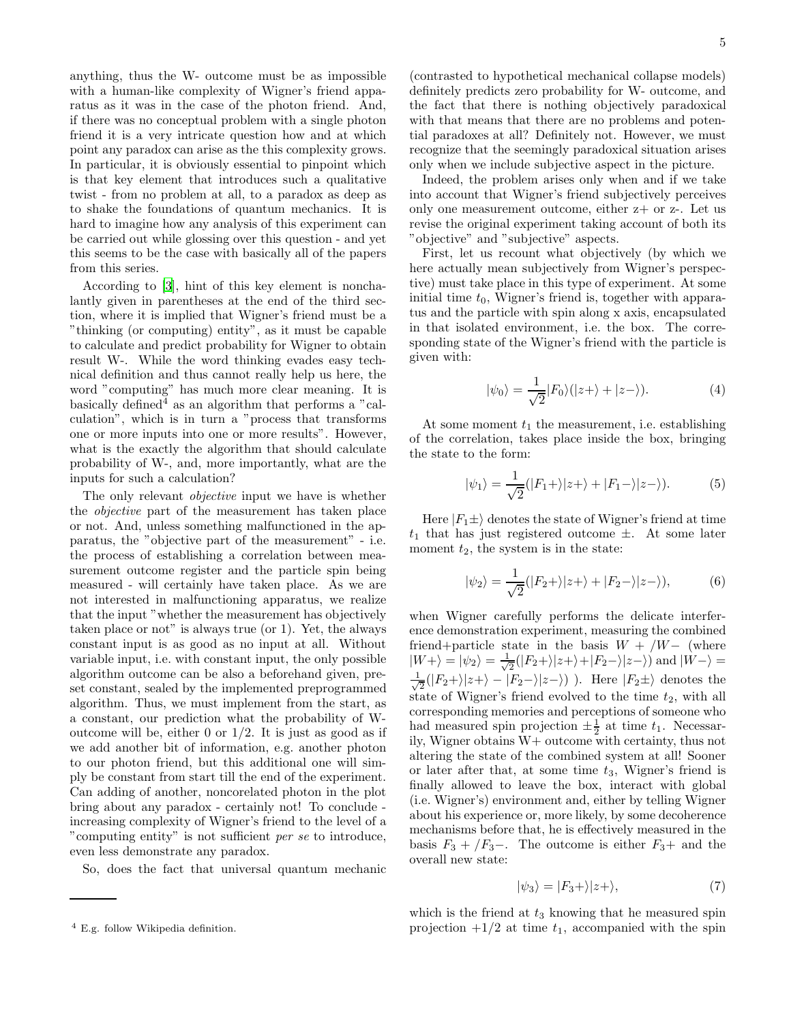anything, thus the W- outcome must be as impossible with a human-like complexity of Wigner's friend apparatus as it was in the case of the photon friend. And, if there was no conceptual problem with a single photon friend it is a very intricate question how and at which point any paradox can arise as the this complexity grows. In particular, it is obviously essential to pinpoint which is that key element that introduces such a qualitative twist - from no problem at all, to a paradox as deep as to shake the foundations of quantum mechanics. It is hard to imagine how any analysis of this experiment can be carried out while glossing over this question - and yet this seems to be the case with basically all of the papers from this series.

According to [\[3](#page-18-3)], hint of this key element is nonchalantly given in parentheses at the end of the third section, where it is implied that Wigner's friend must be a "thinking (or computing) entity", as it must be capable to calculate and predict probability for Wigner to obtain result W-. While the word thinking evades easy technical definition and thus cannot really help us here, the word "computing" has much more clear meaning. It is basically defined<sup> $\overline{4}$ </sup> as an algorithm that performs a "calculation", which is in turn a "process that transforms one or more inputs into one or more results". However, what is the exactly the algorithm that should calculate probability of W-, and, more importantly, what are the inputs for such a calculation?

The only relevant objective input we have is whether the objective part of the measurement has taken place or not. And, unless something malfunctioned in the apparatus, the "objective part of the measurement" - i.e. the process of establishing a correlation between measurement outcome register and the particle spin being measured - will certainly have taken place. As we are not interested in malfunctioning apparatus, we realize that the input "whether the measurement has objectively taken place or not" is always true (or 1). Yet, the always constant input is as good as no input at all. Without variable input, i.e. with constant input, the only possible algorithm outcome can be also a beforehand given, preset constant, sealed by the implemented preprogrammed algorithm. Thus, we must implement from the start, as a constant, our prediction what the probability of Woutcome will be, either 0 or  $1/2$ . It is just as good as if we add another bit of information, e.g. another photon to our photon friend, but this additional one will simply be constant from start till the end of the experiment. Can adding of another, noncorelated photon in the plot bring about any paradox - certainly not! To conclude increasing complexity of Wigner's friend to the level of a "computing entity" is not sufficient per se to introduce, even less demonstrate any paradox.

So, does the fact that universal quantum mechanic

(contrasted to hypothetical mechanical collapse models) definitely predicts zero probability for W- outcome, and the fact that there is nothing objectively paradoxical with that means that there are no problems and potential paradoxes at all? Definitely not. However, we must recognize that the seemingly paradoxical situation arises only when we include subjective aspect in the picture.

Indeed, the problem arises only when and if we take into account that Wigner's friend subjectively perceives only one measurement outcome, either  $z+$  or  $z-$ . Let us revise the original experiment taking account of both its "objective" and "subjective" aspects.

First, let us recount what objectively (by which we here actually mean subjectively from Wigner's perspective) must take place in this type of experiment. At some initial time  $t_0$ , Wigner's friend is, together with apparatus and the particle with spin along x axis, encapsulated in that isolated environment, i.e. the box. The corresponding state of the Wigner's friend with the particle is given with:

$$
|\psi_0\rangle = \frac{1}{\sqrt{2}}|F_0\rangle(|z+\rangle + |z-\rangle). \tag{4}
$$

At some moment  $t_1$  the measurement, i.e. establishing of the correlation, takes place inside the box, bringing the state to the form:

$$
|\psi_1\rangle = \frac{1}{\sqrt{2}}(|F_1 + \rangle |z + \rangle + |F_1 - \rangle |z - \rangle). \tag{5}
$$

Here  $|F_1\pm\rangle$  denotes the state of Wigner's friend at time  $t_1$  that has just registered outcome  $\pm$ . At some later moment  $t_2$ , the system is in the state:

$$
|\psi_2\rangle = \frac{1}{\sqrt{2}}(|F_2 + \rangle |z + \rangle + |F_2 - \rangle |z - \rangle), \tag{6}
$$

when Wigner carefully performs the delicate interference demonstration experiment, measuring the combined friend+particle state in the basis  $W + /W -$  (where  $|W+\rangle = |\psi_2\rangle = \frac{1}{\sqrt{2}}$  $\frac{1}{2}(|F_2+\rangle|z+\rangle+|F_2-\rangle|z-\rangle)$  and  $|W-\rangle=$ √ 1  $\frac{1}{2}(|F_2+\rangle|z+\rangle - |F_2-\rangle|z-\rangle)$ ). Here  $|F_2\pm\rangle$  denotes the state of Wigner's friend evolved to the time  $t_2$ , with all corresponding memories and perceptions of someone who had measured spin projection  $\pm \frac{1}{2}$  at time  $t_1$ . Necessarily, Wigner obtains W+ outcome with certainty, thus not altering the state of the combined system at all! Sooner or later after that, at some time  $t_3$ , Wigner's friend is finally allowed to leave the box, interact with global (i.e. Wigner's) environment and, either by telling Wigner about his experience or, more likely, by some decoherence mechanisms before that, he is effectively measured in the basis  $F_3 + /F_3 -$ . The outcome is either  $F_3 +$  and the overall new state:

$$
|\psi_3\rangle = |F_3 + \rangle |z + \rangle,\tag{7}
$$

which is the friend at  $t_3$  knowing that he measured spin projection  $+1/2$  at time  $t_1$ , accompanied with the spin

<sup>4</sup> E.g. follow Wikipedia definition.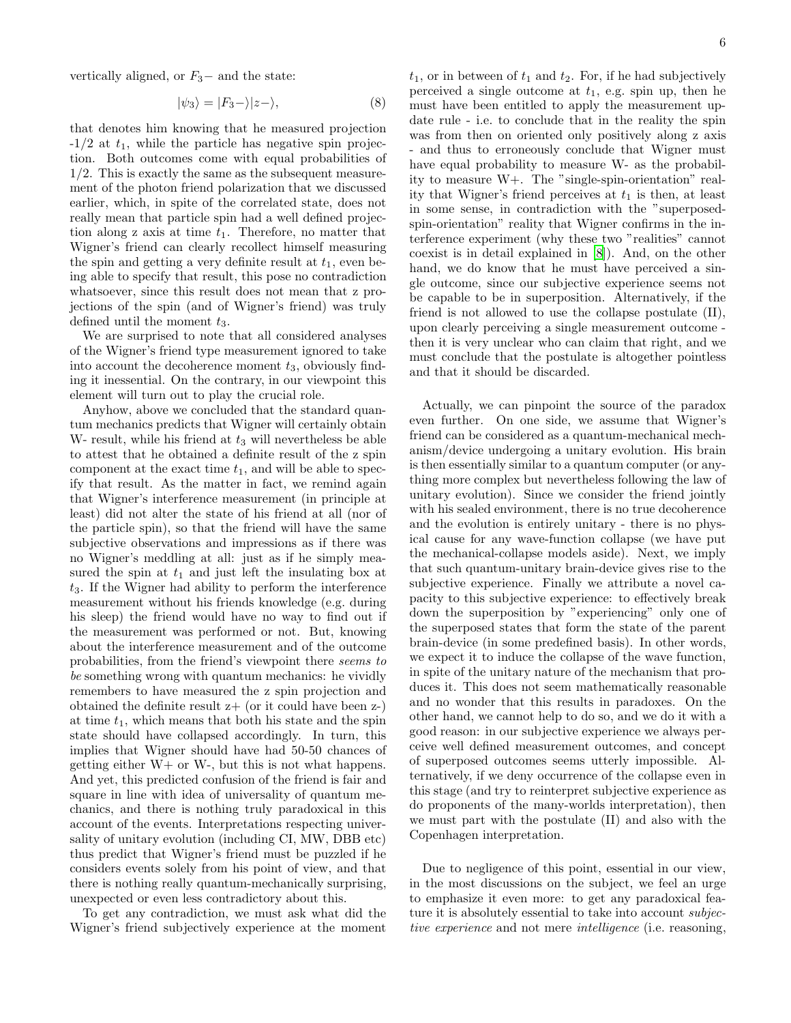vertically aligned, or  $F_3-$  and the state:

$$
|\psi_3\rangle = |F_3 - \rangle |z - \rangle,\tag{8}
$$

that denotes him knowing that he measured projection  $-1/2$  at  $t_1$ , while the particle has negative spin projection. Both outcomes come with equal probabilities of 1/2. This is exactly the same as the subsequent measurement of the photon friend polarization that we discussed earlier, which, in spite of the correlated state, does not really mean that particle spin had a well defined projection along z axis at time  $t_1$ . Therefore, no matter that Wigner's friend can clearly recollect himself measuring the spin and getting a very definite result at  $t_1$ , even being able to specify that result, this pose no contradiction whatsoever, since this result does not mean that z projections of the spin (and of Wigner's friend) was truly defined until the moment  $t_3$ .

We are surprised to note that all considered analyses of the Wigner's friend type measurement ignored to take into account the decoherence moment  $t_3$ , obviously finding it inessential. On the contrary, in our viewpoint this element will turn out to play the crucial role.

Anyhow, above we concluded that the standard quantum mechanics predicts that Wigner will certainly obtain W- result, while his friend at  $t_3$  will nevertheless be able to attest that he obtained a definite result of the z spin component at the exact time  $t_1$ , and will be able to specify that result. As the matter in fact, we remind again that Wigner's interference measurement (in principle at least) did not alter the state of his friend at all (nor of the particle spin), so that the friend will have the same subjective observations and impressions as if there was no Wigner's meddling at all: just as if he simply measured the spin at  $t_1$  and just left the insulating box at  $t<sub>3</sub>$ . If the Wigner had ability to perform the interference measurement without his friends knowledge (e.g. during his sleep) the friend would have no way to find out if the measurement was performed or not. But, knowing about the interference measurement and of the outcome probabilities, from the friend's viewpoint there seems to be something wrong with quantum mechanics: he vividly remembers to have measured the z spin projection and obtained the definite result  $z+$  (or it could have been  $z-$ ) at time  $t_1$ , which means that both his state and the spin state should have collapsed accordingly. In turn, this implies that Wigner should have had 50-50 chances of getting either W+ or W-, but this is not what happens. And yet, this predicted confusion of the friend is fair and square in line with idea of universality of quantum mechanics, and there is nothing truly paradoxical in this account of the events. Interpretations respecting universality of unitary evolution (including CI, MW, DBB etc) thus predict that Wigner's friend must be puzzled if he considers events solely from his point of view, and that there is nothing really quantum-mechanically surprising, unexpected or even less contradictory about this.

To get any contradiction, we must ask what did the Wigner's friend subjectively experience at the moment  $t_1$ , or in between of  $t_1$  and  $t_2$ . For, if he had subjectively perceived a single outcome at  $t_1$ , e.g. spin up, then he must have been entitled to apply the measurement update rule - i.e. to conclude that in the reality the spin was from then on oriented only positively along z axis - and thus to erroneously conclude that Wigner must have equal probability to measure W- as the probability to measure W+. The "single-spin-orientation" reality that Wigner's friend perceives at  $t_1$  is then, at least in some sense, in contradiction with the "superposedspin-orientation" reality that Wigner confirms in the interference experiment (why these two "realities" cannot coexist is in detail explained in [\[8\]](#page-18-7)). And, on the other hand, we do know that he must have perceived a single outcome, since our subjective experience seems not be capable to be in superposition. Alternatively, if the friend is not allowed to use the collapse postulate (II), upon clearly perceiving a single measurement outcome then it is very unclear who can claim that right, and we must conclude that the postulate is altogether pointless and that it should be discarded.

Actually, we can pinpoint the source of the paradox even further. On one side, we assume that Wigner's friend can be considered as a quantum-mechanical mechanism/device undergoing a unitary evolution. His brain is then essentially similar to a quantum computer (or anything more complex but nevertheless following the law of unitary evolution). Since we consider the friend jointly with his sealed environment, there is no true decoherence and the evolution is entirely unitary - there is no physical cause for any wave-function collapse (we have put the mechanical-collapse models aside). Next, we imply that such quantum-unitary brain-device gives rise to the subjective experience. Finally we attribute a novel capacity to this subjective experience: to effectively break down the superposition by "experiencing" only one of the superposed states that form the state of the parent brain-device (in some predefined basis). In other words, we expect it to induce the collapse of the wave function, in spite of the unitary nature of the mechanism that produces it. This does not seem mathematically reasonable and no wonder that this results in paradoxes. On the other hand, we cannot help to do so, and we do it with a good reason: in our subjective experience we always perceive well defined measurement outcomes, and concept of superposed outcomes seems utterly impossible. Alternatively, if we deny occurrence of the collapse even in this stage (and try to reinterpret subjective experience as do proponents of the many-worlds interpretation), then we must part with the postulate (II) and also with the Copenhagen interpretation.

Due to negligence of this point, essential in our view, in the most discussions on the subject, we feel an urge to emphasize it even more: to get any paradoxical feature it is absolutely essential to take into account subjective experience and not mere intelligence (i.e. reasoning,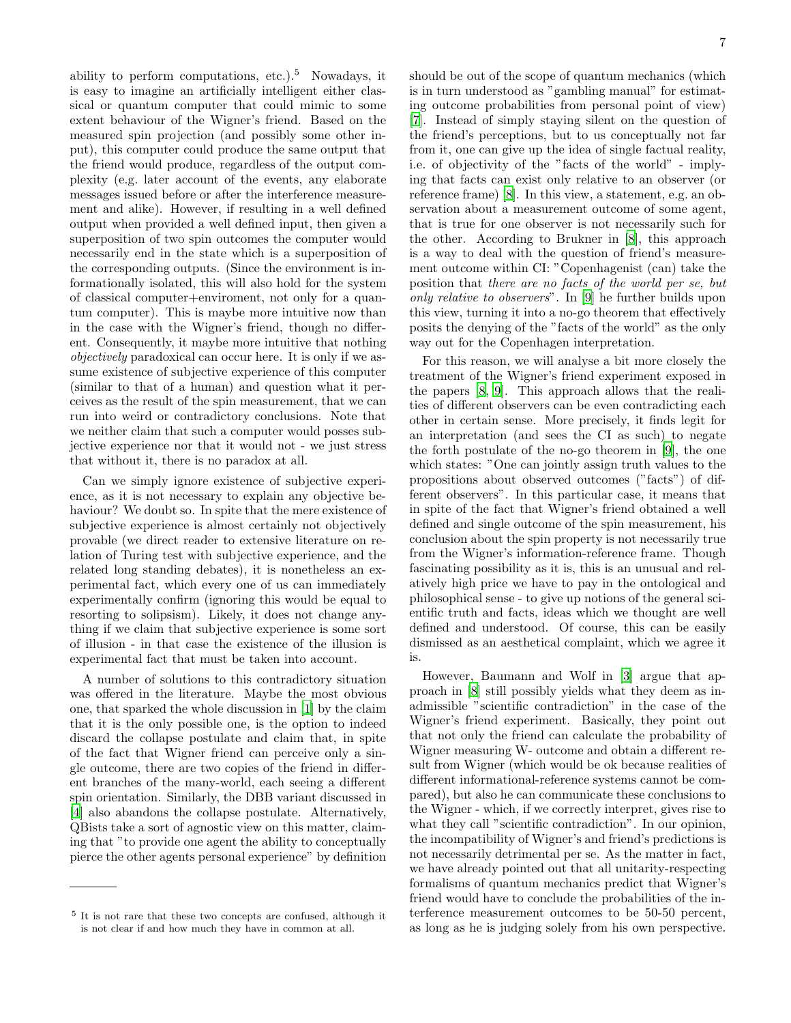ability to perform computations, etc.).<sup>5</sup> Nowadays, it is easy to imagine an artificially intelligent either classical or quantum computer that could mimic to some extent behaviour of the Wigner's friend. Based on the measured spin projection (and possibly some other input), this computer could produce the same output that the friend would produce, regardless of the output complexity (e.g. later account of the events, any elaborate messages issued before or after the interference measurement and alike). However, if resulting in a well defined output when provided a well defined input, then given a superposition of two spin outcomes the computer would necessarily end in the state which is a superposition of the corresponding outputs. (Since the environment is informationally isolated, this will also hold for the system of classical computer+enviroment, not only for a quantum computer). This is maybe more intuitive now than in the case with the Wigner's friend, though no different. Consequently, it maybe more intuitive that nothing objectively paradoxical can occur here. It is only if we assume existence of subjective experience of this computer (similar to that of a human) and question what it perceives as the result of the spin measurement, that we can run into weird or contradictory conclusions. Note that we neither claim that such a computer would posses subjective experience nor that it would not - we just stress that without it, there is no paradox at all.

Can we simply ignore existence of subjective experience, as it is not necessary to explain any objective behaviour? We doubt so. In spite that the mere existence of subjective experience is almost certainly not objectively provable (we direct reader to extensive literature on relation of Turing test with subjective experience, and the related long standing debates), it is nonetheless an experimental fact, which every one of us can immediately experimentally confirm (ignoring this would be equal to resorting to solipsism). Likely, it does not change anything if we claim that subjective experience is some sort of illusion - in that case the existence of the illusion is experimental fact that must be taken into account.

A number of solutions to this contradictory situation was offered in the literature. Maybe the most obvious one, that sparked the whole discussion in [\[1\]](#page-18-0) by the claim that it is the only possible one, is the option to indeed discard the collapse postulate and claim that, in spite of the fact that Wigner friend can perceive only a single outcome, there are two copies of the friend in different branches of the many-world, each seeing a different spin orientation. Similarly, the DBB variant discussed in [\[4\]](#page-18-2) also abandons the collapse postulate. Alternatively, QBists take a sort of agnostic view on this matter, claiming that "to provide one agent the ability to conceptually pierce the other agents personal experience" by definition should be out of the scope of quantum mechanics (which is in turn understood as "gambling manual" for estimating outcome probabilities from personal point of view) [\[7\]](#page-18-6). Instead of simply staying silent on the question of the friend's perceptions, but to us conceptually not far from it, one can give up the idea of single factual reality, i.e. of objectivity of the "facts of the world" - implying that facts can exist only relative to an observer (or reference frame) [\[8\]](#page-18-7). In this view, a statement, e.g. an observation about a measurement outcome of some agent, that is true for one observer is not necessarily such for the other. According to Brukner in [\[8\]](#page-18-7), this approach is a way to deal with the question of friend's measurement outcome within CI: "Copenhagenist (can) take the position that there are no facts of the world per se, but only relative to observers". In [\[9\]](#page-18-9) he further builds upon this view, turning it into a no-go theorem that effectively posits the denying of the "facts of the world" as the only way out for the Copenhagen interpretation.

For this reason, we will analyse a bit more closely the treatment of the Wigner's friend experiment exposed in the papers [\[8,](#page-18-7) [9\]](#page-18-9). This approach allows that the realities of different observers can be even contradicting each other in certain sense. More precisely, it finds legit for an interpretation (and sees the CI as such) to negate the forth postulate of the no-go theorem in [\[9](#page-18-9)], the one which states: "One can jointly assign truth values to the propositions about observed outcomes ("facts") of different observers". In this particular case, it means that in spite of the fact that Wigner's friend obtained a well defined and single outcome of the spin measurement, his conclusion about the spin property is not necessarily true from the Wigner's information-reference frame. Though fascinating possibility as it is, this is an unusual and relatively high price we have to pay in the ontological and philosophical sense - to give up notions of the general scientific truth and facts, ideas which we thought are well defined and understood. Of course, this can be easily dismissed as an aesthetical complaint, which we agree it is.

However, Baumann and Wolf in [\[3\]](#page-18-3) argue that approach in [\[8\]](#page-18-7) still possibly yields what they deem as inadmissible "scientific contradiction" in the case of the Wigner's friend experiment. Basically, they point out that not only the friend can calculate the probability of Wigner measuring W- outcome and obtain a different result from Wigner (which would be ok because realities of different informational-reference systems cannot be compared), but also he can communicate these conclusions to the Wigner - which, if we correctly interpret, gives rise to what they call "scientific contradiction". In our opinion, the incompatibility of Wigner's and friend's predictions is not necessarily detrimental per se. As the matter in fact, we have already pointed out that all unitarity-respecting formalisms of quantum mechanics predict that Wigner's friend would have to conclude the probabilities of the interference measurement outcomes to be 50-50 percent, as long as he is judging solely from his own perspective.

<sup>5</sup> It is not rare that these two concepts are confused, although it is not clear if and how much they have in common at all.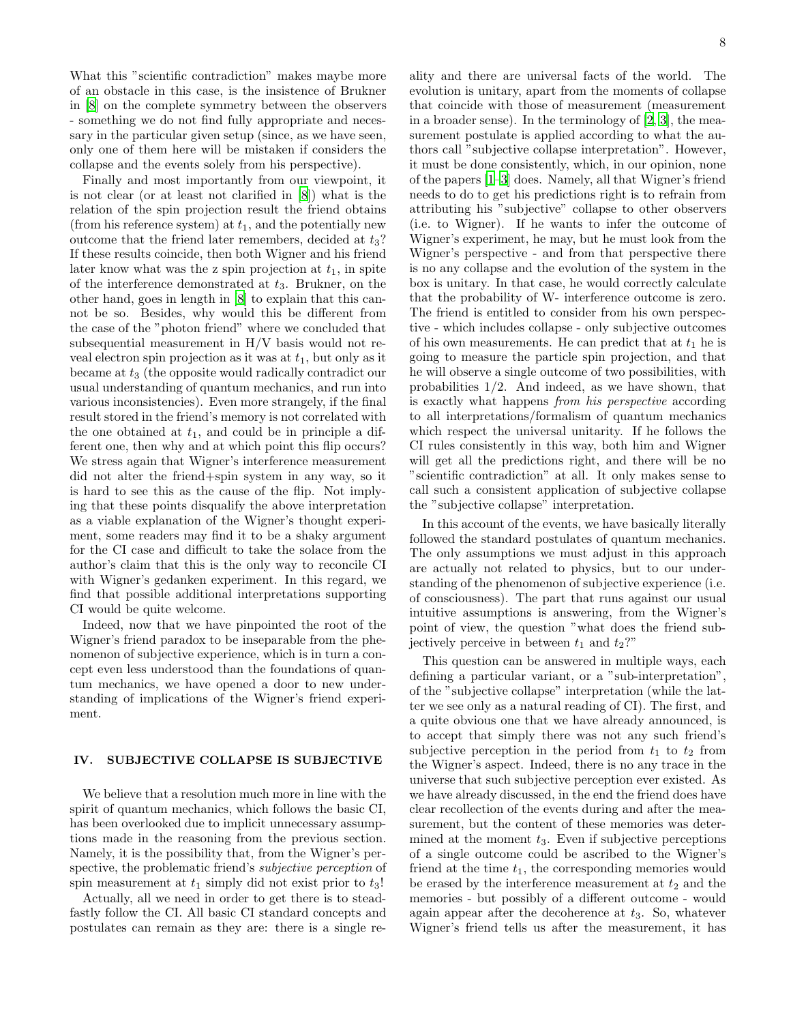8

What this "scientific contradiction" makes maybe more of an obstacle in this case, is the insistence of Brukner in [\[8\]](#page-18-7) on the complete symmetry between the observers - something we do not find fully appropriate and necessary in the particular given setup (since, as we have seen, only one of them here will be mistaken if considers the collapse and the events solely from his perspective).

Finally and most importantly from our viewpoint, it is not clear (or at least not clarified in [\[8](#page-18-7)]) what is the relation of the spin projection result the friend obtains (from his reference system) at  $t_1$ , and the potentially new outcome that the friend later remembers, decided at  $t_3$ ? If these results coincide, then both Wigner and his friend later know what was the z spin projection at  $t_1$ , in spite of the interference demonstrated at  $t_3$ . Brukner, on the other hand, goes in length in [\[8\]](#page-18-7) to explain that this cannot be so. Besides, why would this be different from the case of the "photon friend" where we concluded that subsequential measurement in H/V basis would not reveal electron spin projection as it was at  $t_1$ , but only as it became at  $t_3$  (the opposite would radically contradict our usual understanding of quantum mechanics, and run into various inconsistencies). Even more strangely, if the final result stored in the friend's memory is not correlated with the one obtained at  $t_1$ , and could be in principle a different one, then why and at which point this flip occurs? We stress again that Wigner's interference measurement did not alter the friend+spin system in any way, so it is hard to see this as the cause of the flip. Not implying that these points disqualify the above interpretation as a viable explanation of the Wigner's thought experiment, some readers may find it to be a shaky argument for the CI case and difficult to take the solace from the author's claim that this is the only way to reconcile CI with Wigner's gedanken experiment. In this regard, we find that possible additional interpretations supporting CI would be quite welcome.

Indeed, now that we have pinpointed the root of the Wigner's friend paradox to be inseparable from the phenomenon of subjective experience, which is in turn a concept even less understood than the foundations of quantum mechanics, we have opened a door to new understanding of implications of the Wigner's friend experiment.

# IV. SUBJECTIVE COLLAPSE IS SUBJECTIVE

We believe that a resolution much more in line with the spirit of quantum mechanics, which follows the basic CI, has been overlooked due to implicit unnecessary assumptions made in the reasoning from the previous section. Namely, it is the possibility that, from the Wigner's perspective, the problematic friend's *subjective perception* of spin measurement at  $t_1$  simply did not exist prior to  $t_3$ !

Actually, all we need in order to get there is to steadfastly follow the CI. All basic CI standard concepts and postulates can remain as they are: there is a single reality and there are universal facts of the world. The evolution is unitary, apart from the moments of collapse that coincide with those of measurement (measurement in a broader sense). In the terminology of [\[2,](#page-18-1) [3](#page-18-3)], the measurement postulate is applied according to what the authors call "subjective collapse interpretation". However, it must be done consistently, which, in our opinion, none of the papers [\[1](#page-18-0)[–3\]](#page-18-3) does. Namely, all that Wigner's friend needs to do to get his predictions right is to refrain from attributing his "subjective" collapse to other observers (i.e. to Wigner). If he wants to infer the outcome of Wigner's experiment, he may, but he must look from the Wigner's perspective - and from that perspective there is no any collapse and the evolution of the system in the box is unitary. In that case, he would correctly calculate that the probability of W- interference outcome is zero. The friend is entitled to consider from his own perspective - which includes collapse - only subjective outcomes of his own measurements. He can predict that at  $t_1$  he is going to measure the particle spin projection, and that he will observe a single outcome of two possibilities, with probabilities 1/2. And indeed, as we have shown, that is exactly what happens from his perspective according to all interpretations/formalism of quantum mechanics which respect the universal unitarity. If he follows the CI rules consistently in this way, both him and Wigner will get all the predictions right, and there will be no "scientific contradiction" at all. It only makes sense to call such a consistent application of subjective collapse the "subjective collapse" interpretation.

In this account of the events, we have basically literally followed the standard postulates of quantum mechanics. The only assumptions we must adjust in this approach are actually not related to physics, but to our understanding of the phenomenon of subjective experience (i.e. of consciousness). The part that runs against our usual intuitive assumptions is answering, from the Wigner's point of view, the question "what does the friend subjectively perceive in between  $t_1$  and  $t_2$ ?"

This question can be answered in multiple ways, each defining a particular variant, or a "sub-interpretation", of the "subjective collapse" interpretation (while the latter we see only as a natural reading of CI). The first, and a quite obvious one that we have already announced, is to accept that simply there was not any such friend's subjective perception in the period from  $t_1$  to  $t_2$  from the Wigner's aspect. Indeed, there is no any trace in the universe that such subjective perception ever existed. As we have already discussed, in the end the friend does have clear recollection of the events during and after the measurement, but the content of these memories was determined at the moment  $t_3$ . Even if subjective perceptions of a single outcome could be ascribed to the Wigner's friend at the time  $t_1$ , the corresponding memories would be erased by the interference measurement at  $t_2$  and the memories - but possibly of a different outcome - would again appear after the decoherence at  $t_3$ . So, whatever Wigner's friend tells us after the measurement, it has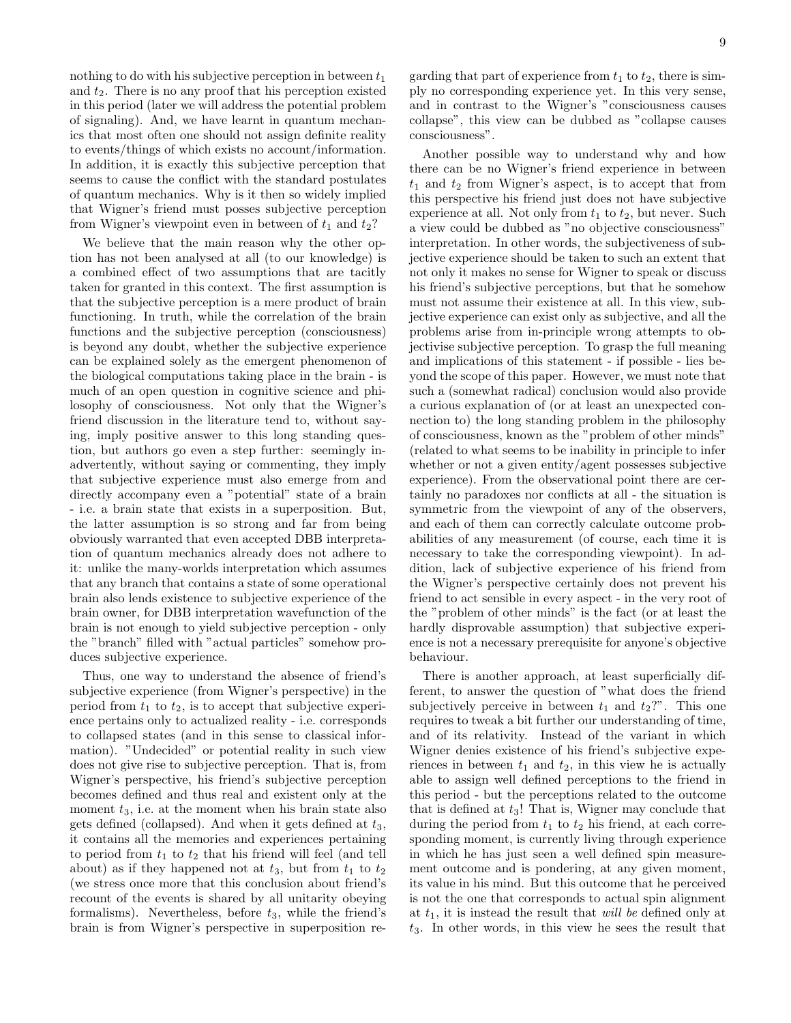nothing to do with his subjective perception in between  $t_1$ and  $t_2$ . There is no any proof that his perception existed in this period (later we will address the potential problem of signaling). And, we have learnt in quantum mechanics that most often one should not assign definite reality to events/things of which exists no account/information. In addition, it is exactly this subjective perception that seems to cause the conflict with the standard postulates of quantum mechanics. Why is it then so widely implied that Wigner's friend must posses subjective perception from Wigner's viewpoint even in between of  $t_1$  and  $t_2$ ?

We believe that the main reason why the other option has not been analysed at all (to our knowledge) is a combined effect of two assumptions that are tacitly taken for granted in this context. The first assumption is that the subjective perception is a mere product of brain functioning. In truth, while the correlation of the brain functions and the subjective perception (consciousness) is beyond any doubt, whether the subjective experience can be explained solely as the emergent phenomenon of the biological computations taking place in the brain - is much of an open question in cognitive science and philosophy of consciousness. Not only that the Wigner's friend discussion in the literature tend to, without saying, imply positive answer to this long standing question, but authors go even a step further: seemingly inadvertently, without saying or commenting, they imply that subjective experience must also emerge from and directly accompany even a "potential" state of a brain - i.e. a brain state that exists in a superposition. But, the latter assumption is so strong and far from being obviously warranted that even accepted DBB interpretation of quantum mechanics already does not adhere to it: unlike the many-worlds interpretation which assumes that any branch that contains a state of some operational brain also lends existence to subjective experience of the brain owner, for DBB interpretation wavefunction of the brain is not enough to yield subjective perception - only the "branch" filled with "actual particles" somehow produces subjective experience.

Thus, one way to understand the absence of friend's subjective experience (from Wigner's perspective) in the period from  $t_1$  to  $t_2$ , is to accept that subjective experience pertains only to actualized reality - i.e. corresponds to collapsed states (and in this sense to classical information). "Undecided" or potential reality in such view does not give rise to subjective perception. That is, from Wigner's perspective, his friend's subjective perception becomes defined and thus real and existent only at the moment  $t_3$ , i.e. at the moment when his brain state also gets defined (collapsed). And when it gets defined at  $t_3$ , it contains all the memories and experiences pertaining to period from  $t_1$  to  $t_2$  that his friend will feel (and tell about) as if they happened not at  $t_3$ , but from  $t_1$  to  $t_2$ (we stress once more that this conclusion about friend's recount of the events is shared by all unitarity obeying formalisms). Nevertheless, before  $t_3$ , while the friend's brain is from Wigner's perspective in superposition regarding that part of experience from  $t_1$  to  $t_2$ , there is simply no corresponding experience yet. In this very sense, and in contrast to the Wigner's "consciousness causes collapse", this view can be dubbed as "collapse causes consciousness".

Another possible way to understand why and how there can be no Wigner's friend experience in between  $t_1$  and  $t_2$  from Wigner's aspect, is to accept that from this perspective his friend just does not have subjective experience at all. Not only from  $t_1$  to  $t_2$ , but never. Such a view could be dubbed as "no objective consciousness" interpretation. In other words, the subjectiveness of subjective experience should be taken to such an extent that not only it makes no sense for Wigner to speak or discuss his friend's subjective perceptions, but that he somehow must not assume their existence at all. In this view, subjective experience can exist only as subjective, and all the problems arise from in-principle wrong attempts to objectivise subjective perception. To grasp the full meaning and implications of this statement - if possible - lies beyond the scope of this paper. However, we must note that such a (somewhat radical) conclusion would also provide a curious explanation of (or at least an unexpected connection to) the long standing problem in the philosophy of consciousness, known as the "problem of other minds" (related to what seems to be inability in principle to infer whether or not a given entity/agent possesses subjective experience). From the observational point there are certainly no paradoxes nor conflicts at all - the situation is symmetric from the viewpoint of any of the observers, and each of them can correctly calculate outcome probabilities of any measurement (of course, each time it is necessary to take the corresponding viewpoint). In addition, lack of subjective experience of his friend from the Wigner's perspective certainly does not prevent his friend to act sensible in every aspect - in the very root of the "problem of other minds" is the fact (or at least the hardly disprovable assumption) that subjective experience is not a necessary prerequisite for anyone's objective behaviour.

There is another approach, at least superficially different, to answer the question of "what does the friend subjectively perceive in between  $t_1$  and  $t_2$ ?". This one requires to tweak a bit further our understanding of time, and of its relativity. Instead of the variant in which Wigner denies existence of his friend's subjective experiences in between  $t_1$  and  $t_2$ , in this view he is actually able to assign well defined perceptions to the friend in this period - but the perceptions related to the outcome that is defined at  $t_3$ ! That is, Wigner may conclude that during the period from  $t_1$  to  $t_2$  his friend, at each corresponding moment, is currently living through experience in which he has just seen a well defined spin measurement outcome and is pondering, at any given moment, its value in his mind. But this outcome that he perceived is not the one that corresponds to actual spin alignment at  $t_1$ , it is instead the result that *will be* defined only at  $t_3$ . In other words, in this view he sees the result that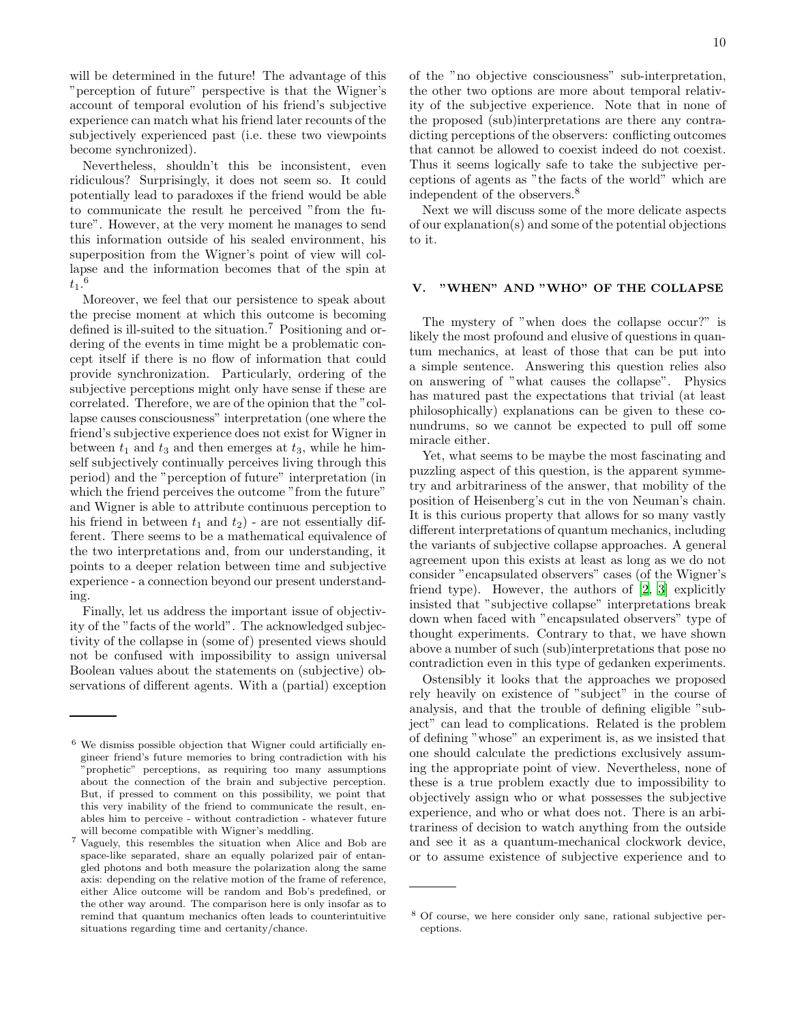will be determined in the future! The advantage of this "perception of future" perspective is that the Wigner's account of temporal evolution of his friend's subjective experience can match what his friend later recounts of the subjectively experienced past (i.e. these two viewpoints become synchronized).

Nevertheless, shouldn't this be inconsistent, even ridiculous? Surprisingly, it does not seem so. It could potentially lead to paradoxes if the friend would be able to communicate the result he perceived "from the future". However, at the very moment he manages to send this information outside of his sealed environment, his superposition from the Wigner's point of view will collapse and the information becomes that of the spin at  $\tilde{t_1.^6}$ 

Moreover, we feel that our persistence to speak about the precise moment at which this outcome is becoming defined is ill-suited to the situation.<sup>7</sup> Positioning and ordering of the events in time might be a problematic concept itself if there is no flow of information that could provide synchronization. Particularly, ordering of the subjective perceptions might only have sense if these are correlated. Therefore, we are of the opinion that the "collapse causes consciousness" interpretation (one where the friend's subjective experience does not exist for Wigner in between  $t_1$  and  $t_3$  and then emerges at  $t_3$ , while he himself subjectively continually perceives living through this period) and the "perception of future" interpretation (in which the friend perceives the outcome "from the future" and Wigner is able to attribute continuous perception to his friend in between  $t_1$  and  $t_2$ ) - are not essentially different. There seems to be a mathematical equivalence of the two interpretations and, from our understanding, it points to a deeper relation between time and subjective experience - a connection beyond our present understanding.

Finally, let us address the important issue of objectivity of the "facts of the world". The acknowledged subjectivity of the collapse in (some of) presented views should not be confused with impossibility to assign universal Boolean values about the statements on (subjective) observations of different agents. With a (partial) exception of the "no objective consciousness" sub-interpretation, the other two options are more about temporal relativity of the subjective experience. Note that in none of the proposed (sub)interpretations are there any contradicting perceptions of the observers: conflicting outcomes that cannot be allowed to coexist indeed do not coexist. Thus it seems logically safe to take the subjective perceptions of agents as "the facts of the world" which are independent of the observers.<sup>8</sup>

Next we will discuss some of the more delicate aspects of our explanation(s) and some of the potential objections to it.

### <span id="page-9-0"></span>V. "WHEN" AND "WHO" OF THE COLLAPSE

The mystery of "when does the collapse occur?" is likely the most profound and elusive of questions in quantum mechanics, at least of those that can be put into a simple sentence. Answering this question relies also on answering of "what causes the collapse". Physics has matured past the expectations that trivial (at least philosophically) explanations can be given to these conundrums, so we cannot be expected to pull off some miracle either.

Yet, what seems to be maybe the most fascinating and puzzling aspect of this question, is the apparent symmetry and arbitrariness of the answer, that mobility of the position of Heisenberg's cut in the von Neuman's chain. It is this curious property that allows for so many vastly different interpretations of quantum mechanics, including the variants of subjective collapse approaches. A general agreement upon this exists at least as long as we do not consider "encapsulated observers" cases (of the Wigner's friend type). However, the authors of [\[2](#page-18-1), [3\]](#page-18-3) explicitly insisted that "subjective collapse" interpretations break down when faced with "encapsulated observers" type of thought experiments. Contrary to that, we have shown above a number of such (sub)interpretations that pose no contradiction even in this type of gedanken experiments.

Ostensibly it looks that the approaches we proposed rely heavily on existence of "subject" in the course of analysis, and that the trouble of defining eligible "subject" can lead to complications. Related is the problem of defining "whose" an experiment is, as we insisted that one should calculate the predictions exclusively assuming the appropriate point of view. Nevertheless, none of these is a true problem exactly due to impossibility to objectively assign who or what possesses the subjective experience, and who or what does not. There is an arbitrariness of decision to watch anything from the outside and see it as a quantum-mechanical clockwork device, or to assume existence of subjective experience and to

 $6$  We dismiss possible objection that Wigner could artificially engineer friend's future memories to bring contradiction with his "prophetic" perceptions, as requiring too many assumptions about the connection of the brain and subjective perception. But, if pressed to comment on this possibility, we point that this very inability of the friend to communicate the result, enables him to perceive - without contradiction - whatever future will become compatible with Wigner's meddling.

<sup>7</sup> Vaguely, this resembles the situation when Alice and Bob are space-like separated, share an equally polarized pair of entangled photons and both measure the polarization along the same axis: depending on the relative motion of the frame of reference, either Alice outcome will be random and Bob's predefined, or the other way around. The comparison here is only insofar as to remind that quantum mechanics often leads to counterintuitive situations regarding time and certanity/chance.

<sup>8</sup> Of course, we here consider only sane, rational subjective perceptions.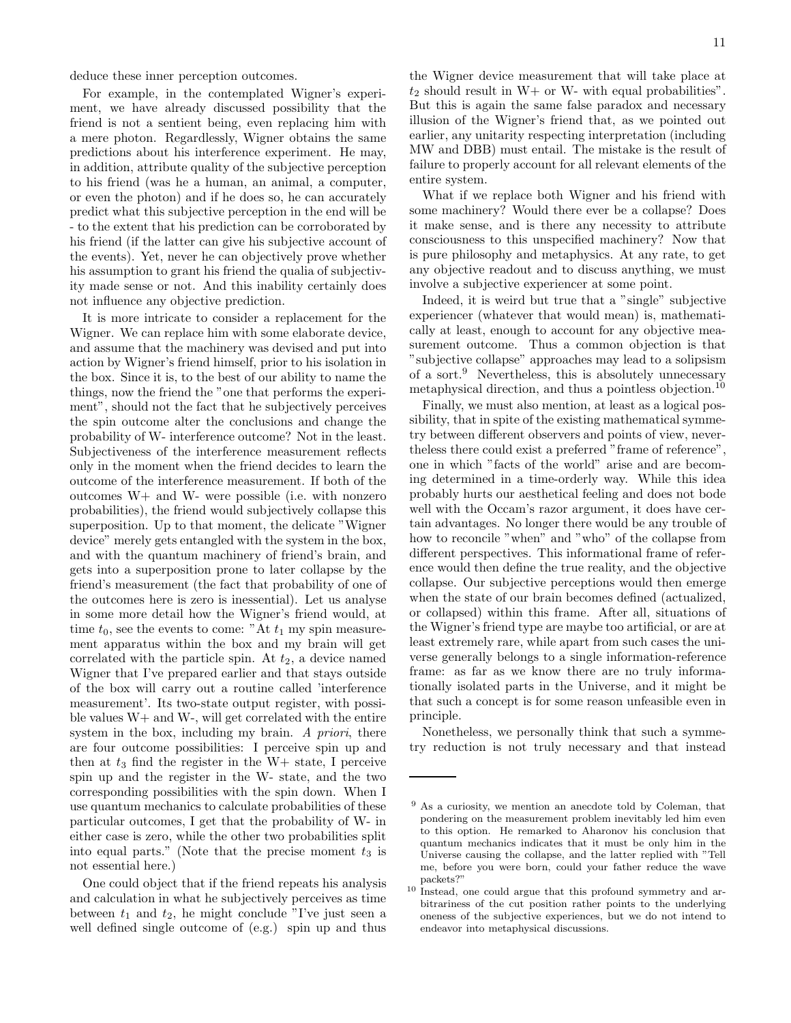deduce these inner perception outcomes.

For example, in the contemplated Wigner's experiment, we have already discussed possibility that the friend is not a sentient being, even replacing him with a mere photon. Regardlessly, Wigner obtains the same predictions about his interference experiment. He may, in addition, attribute quality of the subjective perception to his friend (was he a human, an animal, a computer, or even the photon) and if he does so, he can accurately predict what this subjective perception in the end will be - to the extent that his prediction can be corroborated by his friend (if the latter can give his subjective account of the events). Yet, never he can objectively prove whether his assumption to grant his friend the qualia of subjectivity made sense or not. And this inability certainly does not influence any objective prediction.

It is more intricate to consider a replacement for the Wigner. We can replace him with some elaborate device, and assume that the machinery was devised and put into action by Wigner's friend himself, prior to his isolation in the box. Since it is, to the best of our ability to name the things, now the friend the "one that performs the experiment", should not the fact that he subjectively perceives the spin outcome alter the conclusions and change the probability of W- interference outcome? Not in the least. Subjectiveness of the interference measurement reflects only in the moment when the friend decides to learn the outcome of the interference measurement. If both of the outcomes W+ and W- were possible (i.e. with nonzero probabilities), the friend would subjectively collapse this superposition. Up to that moment, the delicate "Wigner device" merely gets entangled with the system in the box, and with the quantum machinery of friend's brain, and gets into a superposition prone to later collapse by the friend's measurement (the fact that probability of one of the outcomes here is zero is inessential). Let us analyse in some more detail how the Wigner's friend would, at time  $t_0$ , see the events to come: "At  $t_1$  my spin measurement apparatus within the box and my brain will get correlated with the particle spin. At  $t_2$ , a device named Wigner that I've prepared earlier and that stays outside of the box will carry out a routine called 'interference measurement'. Its two-state output register, with possible values W+ and W-, will get correlated with the entire system in the box, including my brain. A priori, there are four outcome possibilities: I perceive spin up and then at  $t_3$  find the register in the W+ state, I perceive spin up and the register in the W- state, and the two corresponding possibilities with the spin down. When I use quantum mechanics to calculate probabilities of these particular outcomes, I get that the probability of W- in either case is zero, while the other two probabilities split into equal parts." (Note that the precise moment  $t_3$  is not essential here.)

One could object that if the friend repeats his analysis and calculation in what he subjectively perceives as time between  $t_1$  and  $t_2$ , he might conclude "I've just seen a well defined single outcome of (e.g.) spin up and thus

the Wigner device measurement that will take place at  $t_2$  should result in W+ or W- with equal probabilities". But this is again the same false paradox and necessary illusion of the Wigner's friend that, as we pointed out earlier, any unitarity respecting interpretation (including

entire system. What if we replace both Wigner and his friend with some machinery? Would there ever be a collapse? Does it make sense, and is there any necessity to attribute consciousness to this unspecified machinery? Now that is pure philosophy and metaphysics. At any rate, to get any objective readout and to discuss anything, we must involve a subjective experiencer at some point.

MW and DBB) must entail. The mistake is the result of failure to properly account for all relevant elements of the

Indeed, it is weird but true that a "single" subjective experiencer (whatever that would mean) is, mathematically at least, enough to account for any objective measurement outcome. Thus a common objection is that "subjective collapse" approaches may lead to a solipsism of a sort.<sup>9</sup> Nevertheless, this is absolutely unnecessary metaphysical direction, and thus a pointless objection.<sup>10</sup>

Finally, we must also mention, at least as a logical possibility, that in spite of the existing mathematical symmetry between different observers and points of view, nevertheless there could exist a preferred "frame of reference", one in which "facts of the world" arise and are becoming determined in a time-orderly way. While this idea probably hurts our aesthetical feeling and does not bode well with the Occam's razor argument, it does have certain advantages. No longer there would be any trouble of how to reconcile "when" and "who" of the collapse from different perspectives. This informational frame of reference would then define the true reality, and the objective collapse. Our subjective perceptions would then emerge when the state of our brain becomes defined (actualized, or collapsed) within this frame. After all, situations of the Wigner's friend type are maybe too artificial, or are at least extremely rare, while apart from such cases the universe generally belongs to a single information-reference frame: as far as we know there are no truly informationally isolated parts in the Universe, and it might be that such a concept is for some reason unfeasible even in principle.

Nonetheless, we personally think that such a symmetry reduction is not truly necessary and that instead

<sup>9</sup> As a curiosity, we mention an anecdote told by Coleman, that pondering on the measurement problem inevitably led him even to this option. He remarked to Aharonov his conclusion that quantum mechanics indicates that it must be only him in the Universe causing the collapse, and the latter replied with "Tell me, before you were born, could your father reduce the wave packets?"

<sup>&</sup>lt;sup>10</sup> Instead, one could argue that this profound symmetry and arbitrariness of the cut position rather points to the underlying oneness of the subjective experiences, but we do not intend to endeavor into metaphysical discussions.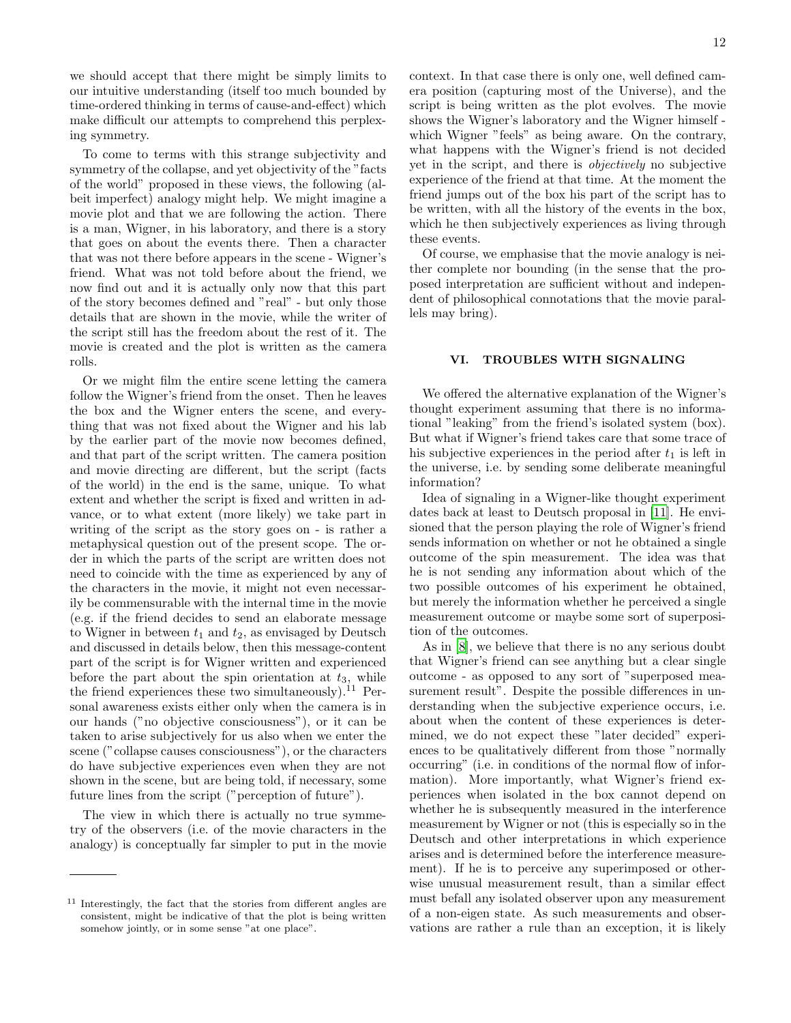we should accept that there might be simply limits to our intuitive understanding (itself too much bounded by time-ordered thinking in terms of cause-and-effect) which make difficult our attempts to comprehend this perplexing symmetry.

To come to terms with this strange subjectivity and symmetry of the collapse, and yet objectivity of the "facts of the world" proposed in these views, the following (albeit imperfect) analogy might help. We might imagine a movie plot and that we are following the action. There is a man, Wigner, in his laboratory, and there is a story that goes on about the events there. Then a character that was not there before appears in the scene - Wigner's friend. What was not told before about the friend, we now find out and it is actually only now that this part of the story becomes defined and "real" - but only those details that are shown in the movie, while the writer of the script still has the freedom about the rest of it. The movie is created and the plot is written as the camera rolls.

Or we might film the entire scene letting the camera follow the Wigner's friend from the onset. Then he leaves the box and the Wigner enters the scene, and everything that was not fixed about the Wigner and his lab by the earlier part of the movie now becomes defined, and that part of the script written. The camera position and movie directing are different, but the script (facts of the world) in the end is the same, unique. To what extent and whether the script is fixed and written in advance, or to what extent (more likely) we take part in writing of the script as the story goes on - is rather a metaphysical question out of the present scope. The order in which the parts of the script are written does not need to coincide with the time as experienced by any of the characters in the movie, it might not even necessarily be commensurable with the internal time in the movie (e.g. if the friend decides to send an elaborate message to Wigner in between  $t_1$  and  $t_2$ , as envisaged by Deutsch and discussed in details below, then this message-content part of the script is for Wigner written and experienced before the part about the spin orientation at  $t_3$ , while the friend experiences these two simultaneously).<sup>11</sup> Personal awareness exists either only when the camera is in our hands ("no objective consciousness"), or it can be taken to arise subjectively for us also when we enter the scene ("collapse causes consciousness"), or the characters do have subjective experiences even when they are not shown in the scene, but are being told, if necessary, some future lines from the script ("perception of future").

The view in which there is actually no true symmetry of the observers (i.e. of the movie characters in the analogy) is conceptually far simpler to put in the movie

12

context. In that case there is only one, well defined camera position (capturing most of the Universe), and the script is being written as the plot evolves. The movie shows the Wigner's laboratory and the Wigner himself which Wigner "feels" as being aware. On the contrary, what happens with the Wigner's friend is not decided yet in the script, and there is objectively no subjective experience of the friend at that time. At the moment the friend jumps out of the box his part of the script has to be written, with all the history of the events in the box, which he then subjectively experiences as living through these events.

Of course, we emphasise that the movie analogy is neither complete nor bounding (in the sense that the proposed interpretation are sufficient without and independent of philosophical connotations that the movie parallels may bring).

# VI. TROUBLES WITH SIGNALING

We offered the alternative explanation of the Wigner's thought experiment assuming that there is no informational "leaking" from the friend's isolated system (box). But what if Wigner's friend takes care that some trace of his subjective experiences in the period after  $t_1$  is left in the universe, i.e. by sending some deliberate meaningful information?

Idea of signaling in a Wigner-like thought experiment dates back at least to Deutsch proposal in [\[11\]](#page-18-10). He envisioned that the person playing the role of Wigner's friend sends information on whether or not he obtained a single outcome of the spin measurement. The idea was that he is not sending any information about which of the two possible outcomes of his experiment he obtained, but merely the information whether he perceived a single measurement outcome or maybe some sort of superposition of the outcomes.

As in [\[8](#page-18-7)], we believe that there is no any serious doubt that Wigner's friend can see anything but a clear single outcome - as opposed to any sort of "superposed measurement result". Despite the possible differences in understanding when the subjective experience occurs, i.e. about when the content of these experiences is determined, we do not expect these "later decided" experiences to be qualitatively different from those "normally occurring" (i.e. in conditions of the normal flow of information). More importantly, what Wigner's friend experiences when isolated in the box cannot depend on whether he is subsequently measured in the interference measurement by Wigner or not (this is especially so in the Deutsch and other interpretations in which experience arises and is determined before the interference measurement). If he is to perceive any superimposed or otherwise unusual measurement result, than a similar effect must befall any isolated observer upon any measurement of a non-eigen state. As such measurements and observations are rather a rule than an exception, it is likely

<sup>11</sup> Interestingly, the fact that the stories from different angles are consistent, might be indicative of that the plot is being written somehow jointly, or in some sense "at one place".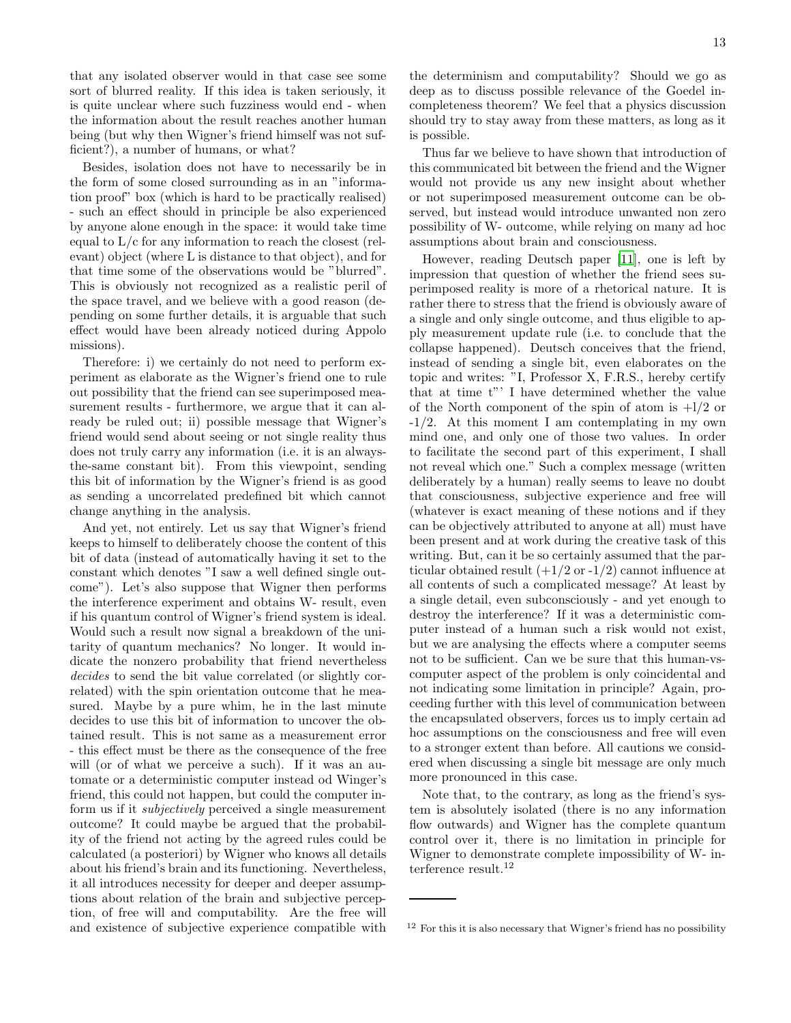that any isolated observer would in that case see some sort of blurred reality. If this idea is taken seriously, it is quite unclear where such fuzziness would end - when the information about the result reaches another human being (but why then Wigner's friend himself was not sufficient?), a number of humans, or what?

Besides, isolation does not have to necessarily be in the form of some closed surrounding as in an "information proof" box (which is hard to be practically realised) - such an effect should in principle be also experienced by anyone alone enough in the space: it would take time equal to  $L/c$  for any information to reach the closest (relevant) object (where L is distance to that object), and for that time some of the observations would be "blurred". This is obviously not recognized as a realistic peril of the space travel, and we believe with a good reason (depending on some further details, it is arguable that such effect would have been already noticed during Appolo missions).

Therefore: i) we certainly do not need to perform experiment as elaborate as the Wigner's friend one to rule out possibility that the friend can see superimposed measurement results - furthermore, we argue that it can already be ruled out; ii) possible message that Wigner's friend would send about seeing or not single reality thus does not truly carry any information (i.e. it is an alwaysthe-same constant bit). From this viewpoint, sending this bit of information by the Wigner's friend is as good as sending a uncorrelated predefined bit which cannot change anything in the analysis.

And yet, not entirely. Let us say that Wigner's friend keeps to himself to deliberately choose the content of this bit of data (instead of automatically having it set to the constant which denotes "I saw a well defined single outcome"). Let's also suppose that Wigner then performs the interference experiment and obtains W- result, even if his quantum control of Wigner's friend system is ideal. Would such a result now signal a breakdown of the unitarity of quantum mechanics? No longer. It would indicate the nonzero probability that friend nevertheless decides to send the bit value correlated (or slightly correlated) with the spin orientation outcome that he measured. Maybe by a pure whim, he in the last minute decides to use this bit of information to uncover the obtained result. This is not same as a measurement error - this effect must be there as the consequence of the free will (or of what we perceive a such). If it was an automate or a deterministic computer instead od Winger's friend, this could not happen, but could the computer inform us if it subjectively perceived a single measurement outcome? It could maybe be argued that the probability of the friend not acting by the agreed rules could be calculated (a posteriori) by Wigner who knows all details about his friend's brain and its functioning. Nevertheless, it all introduces necessity for deeper and deeper assumptions about relation of the brain and subjective perception, of free will and computability. Are the free will and existence of subjective experience compatible with

the determinism and computability? Should we go as deep as to discuss possible relevance of the Goedel incompleteness theorem? We feel that a physics discussion should try to stay away from these matters, as long as it is possible.

Thus far we believe to have shown that introduction of this communicated bit between the friend and the Wigner would not provide us any new insight about whether or not superimposed measurement outcome can be observed, but instead would introduce unwanted non zero possibility of W- outcome, while relying on many ad hoc assumptions about brain and consciousness.

However, reading Deutsch paper [\[11\]](#page-18-10), one is left by impression that question of whether the friend sees superimposed reality is more of a rhetorical nature. It is rather there to stress that the friend is obviously aware of a single and only single outcome, and thus eligible to apply measurement update rule (i.e. to conclude that the collapse happened). Deutsch conceives that the friend, instead of sending a single bit, even elaborates on the topic and writes: "I, Professor X, F.R.S., hereby certify that at time t"' I have determined whether the value of the North component of the spin of atom is  $+1/2$  or -1/2. At this moment I am contemplating in my own mind one, and only one of those two values. In order to facilitate the second part of this experiment, I shall not reveal which one." Such a complex message (written deliberately by a human) really seems to leave no doubt that consciousness, subjective experience and free will (whatever is exact meaning of these notions and if they can be objectively attributed to anyone at all) must have been present and at work during the creative task of this writing. But, can it be so certainly assumed that the particular obtained result  $(+1/2 \text{ or } -1/2)$  cannot influence at all contents of such a complicated message? At least by a single detail, even subconsciously - and yet enough to destroy the interference? If it was a deterministic computer instead of a human such a risk would not exist, but we are analysing the effects where a computer seems not to be sufficient. Can we be sure that this human-vscomputer aspect of the problem is only coincidental and not indicating some limitation in principle? Again, proceeding further with this level of communication between the encapsulated observers, forces us to imply certain ad hoc assumptions on the consciousness and free will even to a stronger extent than before. All cautions we considered when discussing a single bit message are only much more pronounced in this case.

Note that, to the contrary, as long as the friend's system is absolutely isolated (there is no any information flow outwards) and Wigner has the complete quantum control over it, there is no limitation in principle for Wigner to demonstrate complete impossibility of W- interference result.<sup>12</sup>

 $12$  For this it is also necessary that Wigner's friend has no possibility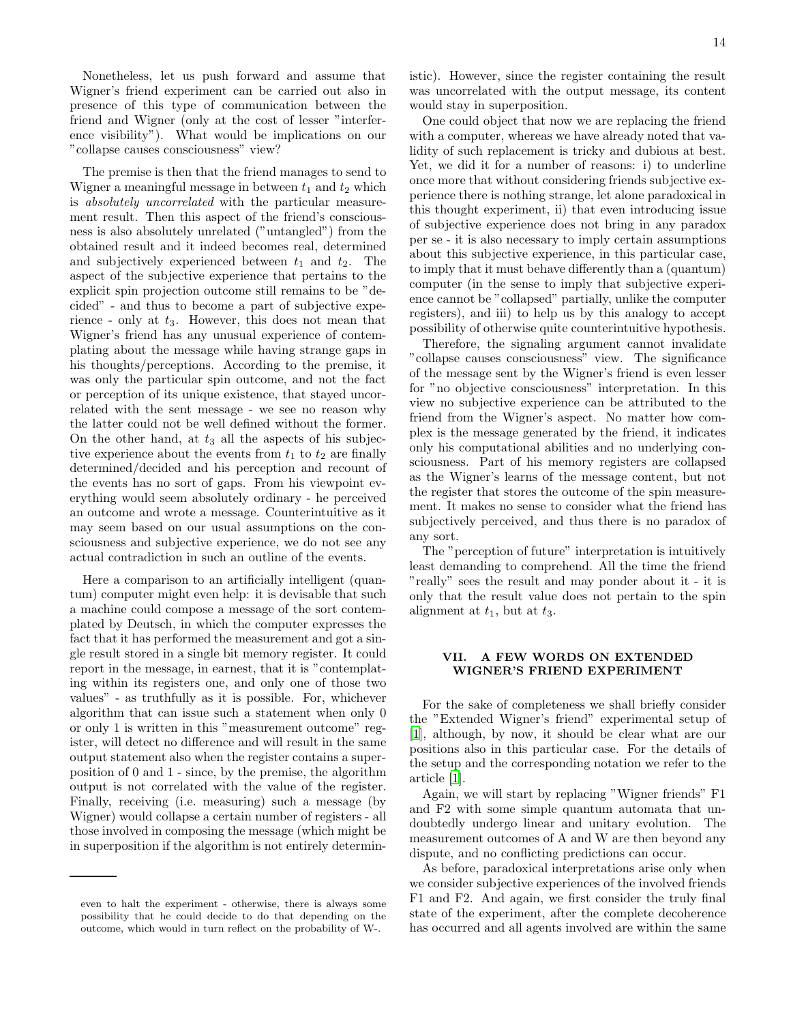Nonetheless, let us push forward and assume that Wigner's friend experiment can be carried out also in presence of this type of communication between the friend and Wigner (only at the cost of lesser "interference visibility"). What would be implications on our "collapse causes consciousness" view?

The premise is then that the friend manages to send to Wigner a meaningful message in between  $t_1$  and  $t_2$  which is absolutely uncorrelated with the particular measurement result. Then this aspect of the friend's consciousness is also absolutely unrelated ("untangled") from the obtained result and it indeed becomes real, determined and subjectively experienced between  $t_1$  and  $t_2$ . The aspect of the subjective experience that pertains to the explicit spin projection outcome still remains to be "decided" - and thus to become a part of subjective experience - only at  $t_3$ . However, this does not mean that Wigner's friend has any unusual experience of contemplating about the message while having strange gaps in his thoughts/perceptions. According to the premise, it was only the particular spin outcome, and not the fact or perception of its unique existence, that stayed uncorrelated with the sent message - we see no reason why the latter could not be well defined without the former. On the other hand, at  $t_3$  all the aspects of his subjective experience about the events from  $t_1$  to  $t_2$  are finally determined/decided and his perception and recount of the events has no sort of gaps. From his viewpoint everything would seem absolutely ordinary - he perceived an outcome and wrote a message. Counterintuitive as it may seem based on our usual assumptions on the consciousness and subjective experience, we do not see any actual contradiction in such an outline of the events.

Here a comparison to an artificially intelligent (quantum) computer might even help: it is devisable that such a machine could compose a message of the sort contemplated by Deutsch, in which the computer expresses the fact that it has performed the measurement and got a single result stored in a single bit memory register. It could report in the message, in earnest, that it is "contemplating within its registers one, and only one of those two values" - as truthfully as it is possible. For, whichever algorithm that can issue such a statement when only 0 or only 1 is written in this "measurement outcome" register, will detect no difference and will result in the same output statement also when the register contains a superposition of 0 and 1 - since, by the premise, the algorithm output is not correlated with the value of the register. Finally, receiving (i.e. measuring) such a message (by Wigner) would collapse a certain number of registers - all those involved in composing the message (which might be in superposition if the algorithm is not entirely determin-

even to halt the experiment - otherwise, there is always some possibility that he could decide to do that depending on the outcome, which would in turn reflect on the probability of W-.

istic). However, since the register containing the result was uncorrelated with the output message, its content would stay in superposition.

One could object that now we are replacing the friend with a computer, whereas we have already noted that validity of such replacement is tricky and dubious at best. Yet, we did it for a number of reasons: i) to underline once more that without considering friends subjective experience there is nothing strange, let alone paradoxical in this thought experiment, ii) that even introducing issue of subjective experience does not bring in any paradox per se - it is also necessary to imply certain assumptions about this subjective experience, in this particular case, to imply that it must behave differently than a (quantum) computer (in the sense to imply that subjective experience cannot be "collapsed" partially, unlike the computer registers), and iii) to help us by this analogy to accept possibility of otherwise quite counterintuitive hypothesis.

Therefore, the signaling argument cannot invalidate "collapse causes consciousness" view. The significance of the message sent by the Wigner's friend is even lesser for "no objective consciousness" interpretation. In this view no subjective experience can be attributed to the friend from the Wigner's aspect. No matter how complex is the message generated by the friend, it indicates only his computational abilities and no underlying consciousness. Part of his memory registers are collapsed as the Wigner's learns of the message content, but not the register that stores the outcome of the spin measurement. It makes no sense to consider what the friend has subjectively perceived, and thus there is no paradox of any sort.

The "perception of future" interpretation is intuitively least demanding to comprehend. All the time the friend "really" sees the result and may ponder about it - it is only that the result value does not pertain to the spin alignment at  $t_1$ , but at  $t_3$ .

# VII. A FEW WORDS ON EXTENDED WIGNER'S FRIEND EXPERIMENT

For the sake of completeness we shall briefly consider the "Extended Wigner's friend" experimental setup of [\[1\]](#page-18-0), although, by now, it should be clear what are our positions also in this particular case. For the details of the setup and the corresponding notation we refer to the article [\[1](#page-18-0)].

Again, we will start by replacing "Wigner friends" F1 and F2 with some simple quantum automata that undoubtedly undergo linear and unitary evolution. The measurement outcomes of A and W are then beyond any dispute, and no conflicting predictions can occur.

As before, paradoxical interpretations arise only when we consider subjective experiences of the involved friends F1 and F2. And again, we first consider the truly final state of the experiment, after the complete decoherence has occurred and all agents involved are within the same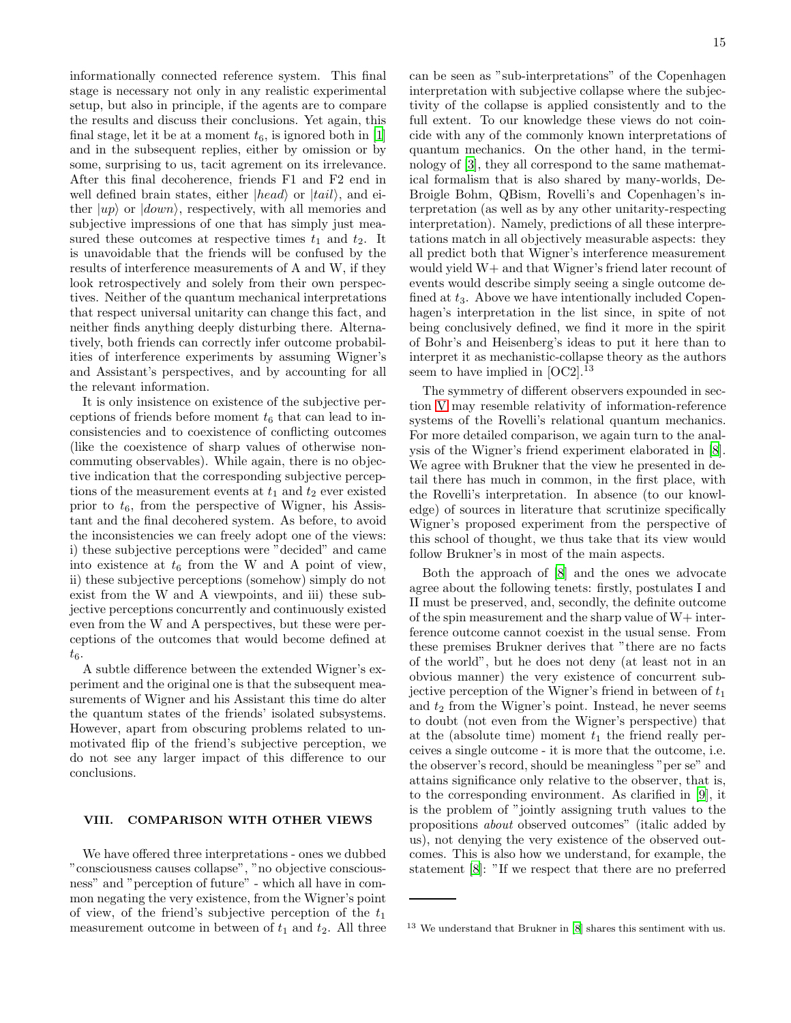informationally connected reference system. This final stage is necessary not only in any realistic experimental setup, but also in principle, if the agents are to compare the results and discuss their conclusions. Yet again, this final stage, let it be at a moment  $t_6$ , is ignored both in [\[1](#page-18-0)] and in the subsequent replies, either by omission or by some, surprising to us, tacit agrement on its irrelevance. After this final decoherence, friends F1 and F2 end in well defined brain states, either  $|head\rangle$  or  $|tail\rangle$ , and either  $|up\rangle$  or  $|down\rangle$ , respectively, with all memories and subjective impressions of one that has simply just measured these outcomes at respective times  $t_1$  and  $t_2$ . It is unavoidable that the friends will be confused by the results of interference measurements of A and W, if they look retrospectively and solely from their own perspectives. Neither of the quantum mechanical interpretations that respect universal unitarity can change this fact, and neither finds anything deeply disturbing there. Alternatively, both friends can correctly infer outcome probabilities of interference experiments by assuming Wigner's and Assistant's perspectives, and by accounting for all the relevant information.

It is only insistence on existence of the subjective perceptions of friends before moment  $t<sub>6</sub>$  that can lead to inconsistencies and to coexistence of conflicting outcomes (like the coexistence of sharp values of otherwise noncommuting observables). While again, there is no objective indication that the corresponding subjective perceptions of the measurement events at  $t_1$  and  $t_2$  ever existed prior to  $t_6$ , from the perspective of Wigner, his Assistant and the final decohered system. As before, to avoid the inconsistencies we can freely adopt one of the views: i) these subjective perceptions were "decided" and came into existence at  $t_6$  from the W and A point of view, ii) these subjective perceptions (somehow) simply do not exist from the W and A viewpoints, and iii) these subjective perceptions concurrently and continuously existed even from the W and A perspectives, but these were perceptions of the outcomes that would become defined at  $t_6$ .

A subtle difference between the extended Wigner's experiment and the original one is that the subsequent measurements of Wigner and his Assistant this time do alter the quantum states of the friends' isolated subsystems. However, apart from obscuring problems related to unmotivated flip of the friend's subjective perception, we do not see any larger impact of this difference to our conclusions.

# VIII. COMPARISON WITH OTHER VIEWS

We have offered three interpretations - ones we dubbed "consciousness causes collapse", "no objective consciousness" and "perception of future" - which all have in common negating the very existence, from the Wigner's point of view, of the friend's subjective perception of the  $t_1$ measurement outcome in between of  $t_1$  and  $t_2$ . All three

can be seen as "sub-interpretations" of the Copenhagen interpretation with subjective collapse where the subjectivity of the collapse is applied consistently and to the full extent. To our knowledge these views do not coincide with any of the commonly known interpretations of quantum mechanics. On the other hand, in the terminology of [\[3](#page-18-3)], they all correspond to the same mathematical formalism that is also shared by many-worlds, De-Broigle Bohm, QBism, Rovelli's and Copenhagen's interpretation (as well as by any other unitarity-respecting interpretation). Namely, predictions of all these interpretations match in all objectively measurable aspects: they all predict both that Wigner's interference measurement would yield W+ and that Wigner's friend later recount of events would describe simply seeing a single outcome defined at  $t_3$ . Above we have intentionally included Copenhagen's interpretation in the list since, in spite of not being conclusively defined, we find it more in the spirit of Bohr's and Heisenberg's ideas to put it here than to interpret it as mechanistic-collapse theory as the authors seem to have implied in  $[OC2]$ .<sup>13</sup>

The symmetry of different observers expounded in section [V](#page-9-0) may resemble relativity of information-reference systems of the Rovelli's relational quantum mechanics. For more detailed comparison, we again turn to the analysis of the Wigner's friend experiment elaborated in [\[8\]](#page-18-7). We agree with Brukner that the view he presented in detail there has much in common, in the first place, with the Rovelli's interpretation. In absence (to our knowledge) of sources in literature that scrutinize specifically Wigner's proposed experiment from the perspective of this school of thought, we thus take that its view would follow Brukner's in most of the main aspects.

Both the approach of [\[8\]](#page-18-7) and the ones we advocate agree about the following tenets: firstly, postulates I and II must be preserved, and, secondly, the definite outcome of the spin measurement and the sharp value of W+ interference outcome cannot coexist in the usual sense. From these premises Brukner derives that "there are no facts of the world", but he does not deny (at least not in an obvious manner) the very existence of concurrent subjective perception of the Wigner's friend in between of  $t_1$ and  $t_2$  from the Wigner's point. Instead, he never seems to doubt (not even from the Wigner's perspective) that at the (absolute time) moment  $t_1$  the friend really perceives a single outcome - it is more that the outcome, i.e. the observer's record, should be meaningless "per se" and attains significance only relative to the observer, that is, to the corresponding environment. As clarified in [\[9](#page-18-9)], it is the problem of "jointly assigning truth values to the propositions about observed outcomes" (italic added by us), not denying the very existence of the observed outcomes. This is also how we understand, for example, the statement [\[8](#page-18-7)]: "If we respect that there are no preferred

<sup>13</sup> We understand that Brukner in [\[8](#page-18-7)] shares this sentiment with us.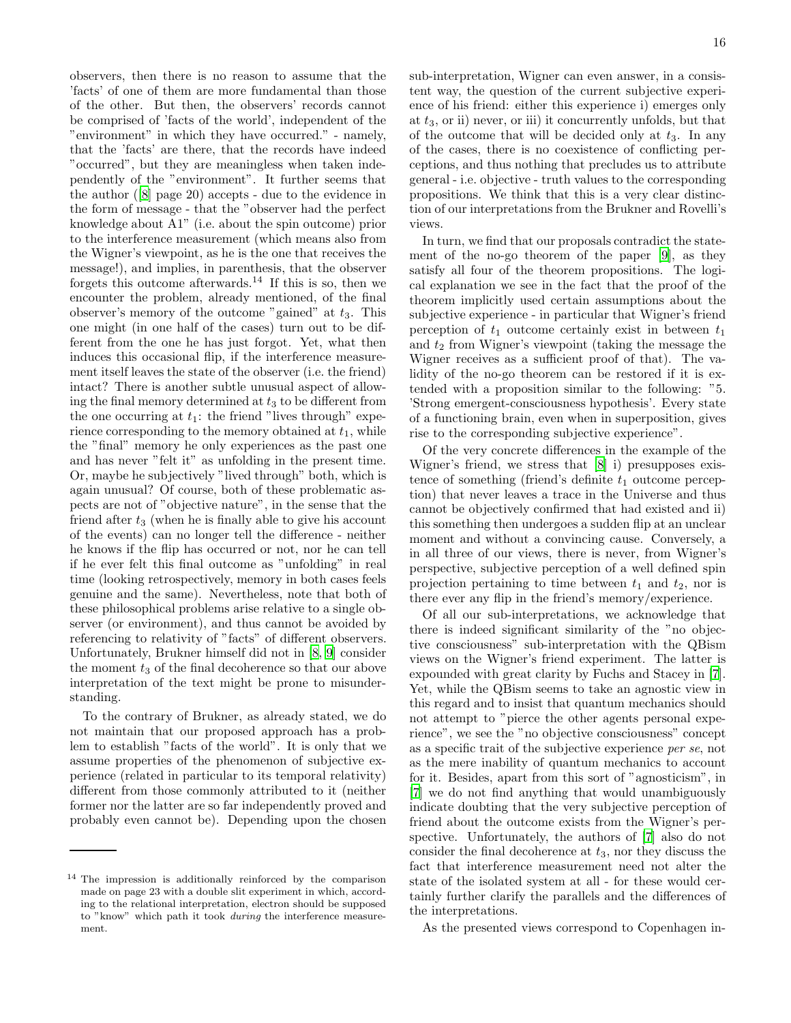observers, then there is no reason to assume that the 'facts' of one of them are more fundamental than those of the other. But then, the observers' records cannot be comprised of 'facts of the world', independent of the "environment" in which they have occurred." - namely, that the 'facts' are there, that the records have indeed "occurred", but they are meaningless when taken independently of the "environment". It further seems that the author ([\[8\]](#page-18-7) page 20) accepts - due to the evidence in the form of message - that the "observer had the perfect knowledge about A1" (i.e. about the spin outcome) prior to the interference measurement (which means also from the Wigner's viewpoint, as he is the one that receives the message!), and implies, in parenthesis, that the observer forgets this outcome afterwards.<sup>14</sup> If this is so, then we encounter the problem, already mentioned, of the final observer's memory of the outcome "gained" at  $t_3$ . This one might (in one half of the cases) turn out to be different from the one he has just forgot. Yet, what then induces this occasional flip, if the interference measurement itself leaves the state of the observer (i.e. the friend) intact? There is another subtle unusual aspect of allowing the final memory determined at  $t_3$  to be different from the one occurring at  $t_1$ : the friend "lives through" experience corresponding to the memory obtained at  $t_1$ , while the "final" memory he only experiences as the past one and has never "felt it" as unfolding in the present time. Or, maybe he subjectively "lived through" both, which is again unusual? Of course, both of these problematic aspects are not of "objective nature", in the sense that the friend after  $t_3$  (when he is finally able to give his account of the events) can no longer tell the difference - neither he knows if the flip has occurred or not, nor he can tell if he ever felt this final outcome as "unfolding" in real time (looking retrospectively, memory in both cases feels genuine and the same). Nevertheless, note that both of these philosophical problems arise relative to a single observer (or environment), and thus cannot be avoided by referencing to relativity of "facts" of different observers. Unfortunately, Brukner himself did not in [\[8,](#page-18-7) [9\]](#page-18-9) consider the moment  $t_3$  of the final decoherence so that our above interpretation of the text might be prone to misunderstanding.

To the contrary of Brukner, as already stated, we do not maintain that our proposed approach has a problem to establish "facts of the world". It is only that we assume properties of the phenomenon of subjective experience (related in particular to its temporal relativity) different from those commonly attributed to it (neither former nor the latter are so far independently proved and probably even cannot be). Depending upon the chosen sub-interpretation, Wigner can even answer, in a consistent way, the question of the current subjective experience of his friend: either this experience i) emerges only at  $t_3$ , or ii) never, or iii) it concurrently unfolds, but that of the outcome that will be decided only at  $t_3$ . In any of the cases, there is no coexistence of conflicting perceptions, and thus nothing that precludes us to attribute general - i.e. objective - truth values to the corresponding propositions. We think that this is a very clear distinction of our interpretations from the Brukner and Rovelli's views.

In turn, we find that our proposals contradict the statement of the no-go theorem of the paper [\[9](#page-18-9)], as they satisfy all four of the theorem propositions. The logical explanation we see in the fact that the proof of the theorem implicitly used certain assumptions about the subjective experience - in particular that Wigner's friend perception of  $t_1$  outcome certainly exist in between  $t_1$ and  $t_2$  from Wigner's viewpoint (taking the message the Wigner receives as a sufficient proof of that). The validity of the no-go theorem can be restored if it is extended with a proposition similar to the following: "5. 'Strong emergent-consciousness hypothesis'. Every state of a functioning brain, even when in superposition, gives rise to the corresponding subjective experience".

Of the very concrete differences in the example of the Wigner's friend, we stress that [\[8\]](#page-18-7) i) presupposes existence of something (friend's definite  $t_1$  outcome perception) that never leaves a trace in the Universe and thus cannot be objectively confirmed that had existed and ii) this something then undergoes a sudden flip at an unclear moment and without a convincing cause. Conversely, a in all three of our views, there is never, from Wigner's perspective, subjective perception of a well defined spin projection pertaining to time between  $t_1$  and  $t_2$ , nor is there ever any flip in the friend's memory/experience.

Of all our sub-interpretations, we acknowledge that there is indeed significant similarity of the "no objective consciousness" sub-interpretation with the QBism views on the Wigner's friend experiment. The latter is expounded with great clarity by Fuchs and Stacey in [\[7\]](#page-18-6). Yet, while the QBism seems to take an agnostic view in this regard and to insist that quantum mechanics should not attempt to "pierce the other agents personal experience", we see the "no objective consciousness" concept as a specific trait of the subjective experience per se, not as the mere inability of quantum mechanics to account for it. Besides, apart from this sort of "agnosticism", in [\[7\]](#page-18-6) we do not find anything that would unambiguously indicate doubting that the very subjective perception of friend about the outcome exists from the Wigner's perspective. Unfortunately, the authors of [\[7\]](#page-18-6) also do not consider the final decoherence at  $t_3$ , nor they discuss the fact that interference measurement need not alter the state of the isolated system at all - for these would certainly further clarify the parallels and the differences of the interpretations.

As the presented views correspond to Copenhagen in-

<sup>&</sup>lt;sup>14</sup> The impression is additionally reinforced by the comparison made on page 23 with a double slit experiment in which, according to the relational interpretation, electron should be supposed to "know" which path it took during the interference measurement.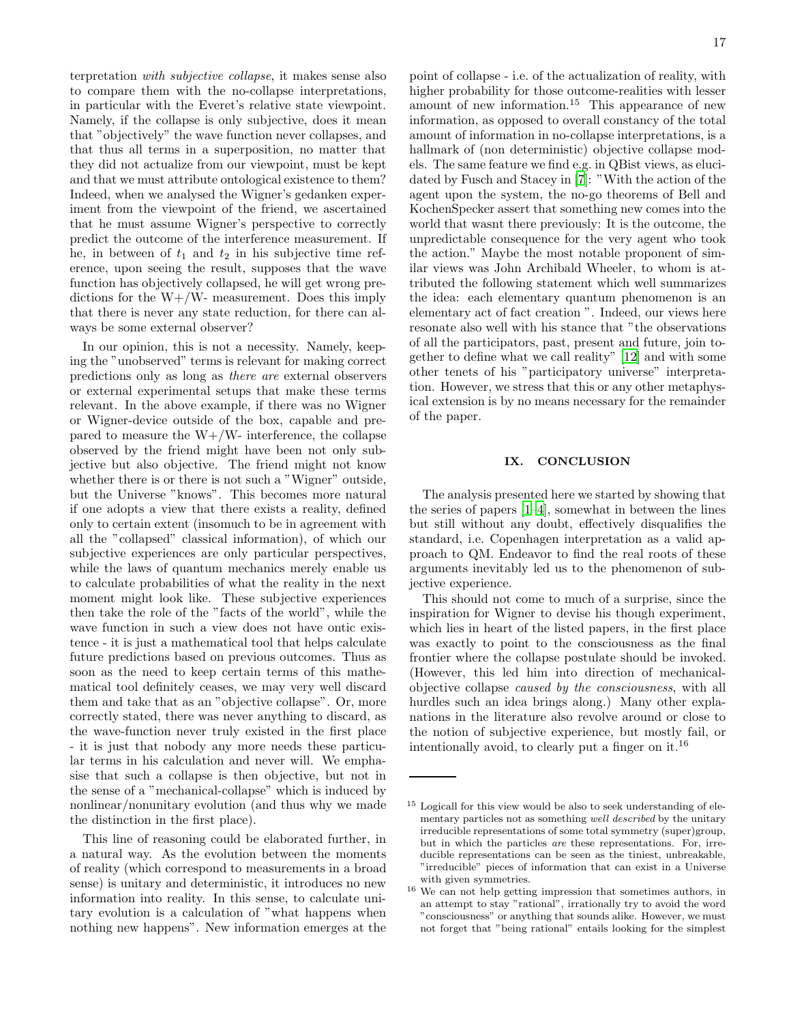terpretation with subjective collapse, it makes sense also to compare them with the no-collapse interpretations, in particular with the Everet's relative state viewpoint. Namely, if the collapse is only subjective, does it mean that "objectively" the wave function never collapses, and that thus all terms in a superposition, no matter that they did not actualize from our viewpoint, must be kept and that we must attribute ontological existence to them? Indeed, when we analysed the Wigner's gedanken experiment from the viewpoint of the friend, we ascertained that he must assume Wigner's perspective to correctly predict the outcome of the interference measurement. If he, in between of  $t_1$  and  $t_2$  in his subjective time reference, upon seeing the result, supposes that the wave function has objectively collapsed, he will get wrong predictions for the  $W+/W-$  measurement. Does this imply that there is never any state reduction, for there can always be some external observer?

In our opinion, this is not a necessity. Namely, keeping the "unobserved" terms is relevant for making correct predictions only as long as there are external observers or external experimental setups that make these terms relevant. In the above example, if there was no Wigner or Wigner-device outside of the box, capable and prepared to measure the  $W+/W-$  interference, the collapse observed by the friend might have been not only subjective but also objective. The friend might not know whether there is or there is not such a "Wigner" outside, but the Universe "knows". This becomes more natural if one adopts a view that there exists a reality, defined only to certain extent (insomuch to be in agreement with all the "collapsed" classical information), of which our subjective experiences are only particular perspectives, while the laws of quantum mechanics merely enable us to calculate probabilities of what the reality in the next moment might look like. These subjective experiences then take the role of the "facts of the world", while the wave function in such a view does not have ontic existence - it is just a mathematical tool that helps calculate future predictions based on previous outcomes. Thus as soon as the need to keep certain terms of this mathematical tool definitely ceases, we may very well discard them and take that as an "objective collapse". Or, more correctly stated, there was never anything to discard, as the wave-function never truly existed in the first place - it is just that nobody any more needs these particular terms in his calculation and never will. We emphasise that such a collapse is then objective, but not in the sense of a "mechanical-collapse" which is induced by nonlinear/nonunitary evolution (and thus why we made the distinction in the first place).

This line of reasoning could be elaborated further, in a natural way. As the evolution between the moments of reality (which correspond to measurements in a broad sense) is unitary and deterministic, it introduces no new information into reality. In this sense, to calculate unitary evolution is a calculation of "what happens when nothing new happens". New information emerges at the

point of collapse - i.e. of the actualization of reality, with higher probability for those outcome-realities with lesser amount of new information.<sup>15</sup> This appearance of new information, as opposed to overall constancy of the total amount of information in no-collapse interpretations, is a hallmark of (non deterministic) objective collapse models. The same feature we find e.g. in QBist views, as elucidated by Fusch and Stacey in [\[7\]](#page-18-6): "With the action of the agent upon the system, the no-go theorems of Bell and KochenSpecker assert that something new comes into the world that wasnt there previously: It is the outcome, the unpredictable consequence for the very agent who took the action." Maybe the most notable proponent of similar views was John Archibald Wheeler, to whom is attributed the following statement which well summarizes the idea: each elementary quantum phenomenon is an elementary act of fact creation ". Indeed, our views here resonate also well with his stance that "the observations of all the participators, past, present and future, join together to define what we call reality" [\[12](#page-18-11)] and with some other tenets of his "participatory universe" interpretation. However, we stress that this or any other metaphysical extension is by no means necessary for the remainder of the paper.

# IX. CONCLUSION

The analysis presented here we started by showing that the series of papers [\[1](#page-18-0)[–4\]](#page-18-2), somewhat in between the lines but still without any doubt, effectively disqualifies the standard, i.e. Copenhagen interpretation as a valid approach to QM. Endeavor to find the real roots of these arguments inevitably led us to the phenomenon of subjective experience.

This should not come to much of a surprise, since the inspiration for Wigner to devise his though experiment, which lies in heart of the listed papers, in the first place was exactly to point to the consciousness as the final frontier where the collapse postulate should be invoked. (However, this led him into direction of mechanicalobjective collapse caused by the consciousness, with all hurdles such an idea brings along.) Many other explanations in the literature also revolve around or close to the notion of subjective experience, but mostly fail, or intentionally avoid, to clearly put a finger on it.<sup>16</sup>

<sup>&</sup>lt;sup>15</sup> Logicall for this view would be also to seek understanding of elementary particles not as something well described by the unitary irreducible representations of some total symmetry (super)group, but in which the particles are these representations. For, irreducible representations can be seen as the tiniest, unbreakable, "irreducible" pieces of information that can exist in a Universe with given symmetries.

 $^{16}$  We can not help getting impression that sometimes authors, in an attempt to stay "rational", irrationally try to avoid the word "consciousness" or anything that sounds alike. However, we must not forget that "being rational" entails looking for the simplest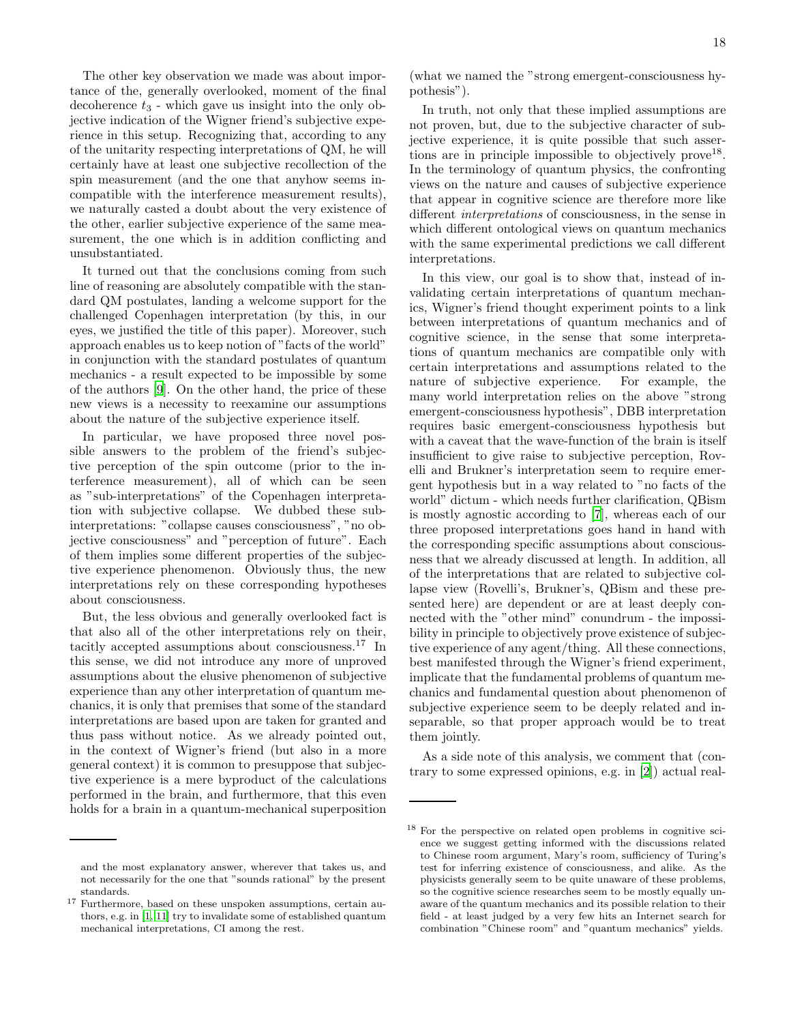The other key observation we made was about importance of the, generally overlooked, moment of the final decoherence  $t_3$  - which gave us insight into the only objective indication of the Wigner friend's subjective experience in this setup. Recognizing that, according to any of the unitarity respecting interpretations of QM, he will certainly have at least one subjective recollection of the spin measurement (and the one that anyhow seems incompatible with the interference measurement results), we naturally casted a doubt about the very existence of the other, earlier subjective experience of the same measurement, the one which is in addition conflicting and unsubstantiated.

It turned out that the conclusions coming from such line of reasoning are absolutely compatible with the standard QM postulates, landing a welcome support for the challenged Copenhagen interpretation (by this, in our eyes, we justified the title of this paper). Moreover, such approach enables us to keep notion of "facts of the world" in conjunction with the standard postulates of quantum mechanics - a result expected to be impossible by some of the authors [\[9](#page-18-9)]. On the other hand, the price of these new views is a necessity to reexamine our assumptions about the nature of the subjective experience itself.

In particular, we have proposed three novel possible answers to the problem of the friend's subjective perception of the spin outcome (prior to the interference measurement), all of which can be seen as "sub-interpretations" of the Copenhagen interpretation with subjective collapse. We dubbed these subinterpretations: "collapse causes consciousness", "no objective consciousness" and "perception of future". Each of them implies some different properties of the subjective experience phenomenon. Obviously thus, the new interpretations rely on these corresponding hypotheses about consciousness.

But, the less obvious and generally overlooked fact is that also all of the other interpretations rely on their, tacitly accepted assumptions about consciousness.<sup>17</sup> In this sense, we did not introduce any more of unproved assumptions about the elusive phenomenon of subjective experience than any other interpretation of quantum mechanics, it is only that premises that some of the standard interpretations are based upon are taken for granted and thus pass without notice. As we already pointed out, in the context of Wigner's friend (but also in a more general context) it is common to presuppose that subjective experience is a mere byproduct of the calculations performed in the brain, and furthermore, that this even holds for a brain in a quantum-mechanical superposition

(what we named the "strong emergent-consciousness hypothesis").

In truth, not only that these implied assumptions are not proven, but, due to the subjective character of subjective experience, it is quite possible that such assertions are in principle impossible to objectively prove<sup>18</sup>. In the terminology of quantum physics, the confronting views on the nature and causes of subjective experience that appear in cognitive science are therefore more like different interpretations of consciousness, in the sense in which different ontological views on quantum mechanics with the same experimental predictions we call different interpretations.

In this view, our goal is to show that, instead of invalidating certain interpretations of quantum mechanics, Wigner's friend thought experiment points to a link between interpretations of quantum mechanics and of cognitive science, in the sense that some interpretations of quantum mechanics are compatible only with certain interpretations and assumptions related to the nature of subjective experience. For example, the many world interpretation relies on the above "strong emergent-consciousness hypothesis", DBB interpretation requires basic emergent-consciousness hypothesis but with a caveat that the wave-function of the brain is itself insufficient to give raise to subjective perception, Rovelli and Brukner's interpretation seem to require emergent hypothesis but in a way related to "no facts of the world" dictum - which needs further clarification, QBism is mostly agnostic according to [\[7](#page-18-6)], whereas each of our three proposed interpretations goes hand in hand with the corresponding specific assumptions about consciousness that we already discussed at length. In addition, all of the interpretations that are related to subjective collapse view (Rovelli's, Brukner's, QBism and these presented here) are dependent or are at least deeply connected with the "other mind" conundrum - the impossibility in principle to objectively prove existence of subjective experience of any agent/thing. All these connections, best manifested through the Wigner's friend experiment, implicate that the fundamental problems of quantum mechanics and fundamental question about phenomenon of subjective experience seem to be deeply related and inseparable, so that proper approach would be to treat them jointly.

As a side note of this analysis, we comment that (contrary to some expressed opinions, e.g. in [\[2](#page-18-1)]) actual real-

and the most explanatory answer, wherever that takes us, and not necessarily for the one that "sounds rational" by the present standards.

 $^{17}$  Furthermore, based on these unspoken assumptions, certain authors, e.g. in [\[1](#page-18-0), [11](#page-18-10)] try to invalidate some of established quantum mechanical interpretations, CI among the rest.

<sup>18</sup> For the perspective on related open problems in cognitive science we suggest getting informed with the discussions related to Chinese room argument, Mary's room, sufficiency of Turing's test for inferring existence of consciousness, and alike. As the physicists generally seem to be quite unaware of these problems, so the cognitive science researches seem to be mostly equally unaware of the quantum mechanics and its possible relation to their field - at least judged by a very few hits an Internet search for combination "Chinese room" and "quantum mechanics" yields.